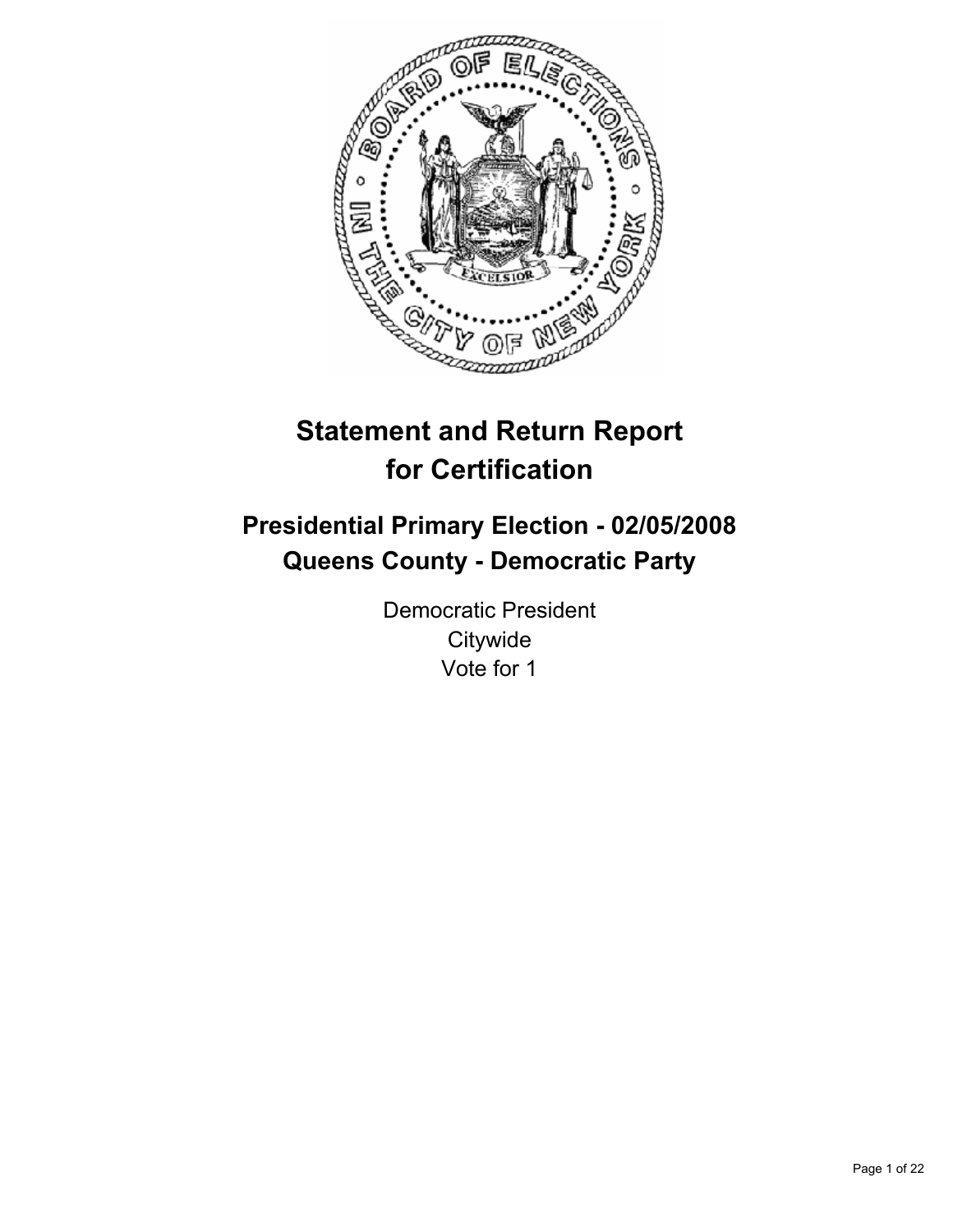

# **Statement and Return Report for Certification**

# **Presidential Primary Election - 02/05/2008 Queens County - Democratic Party**

Democratic President **Citywide** Vote for 1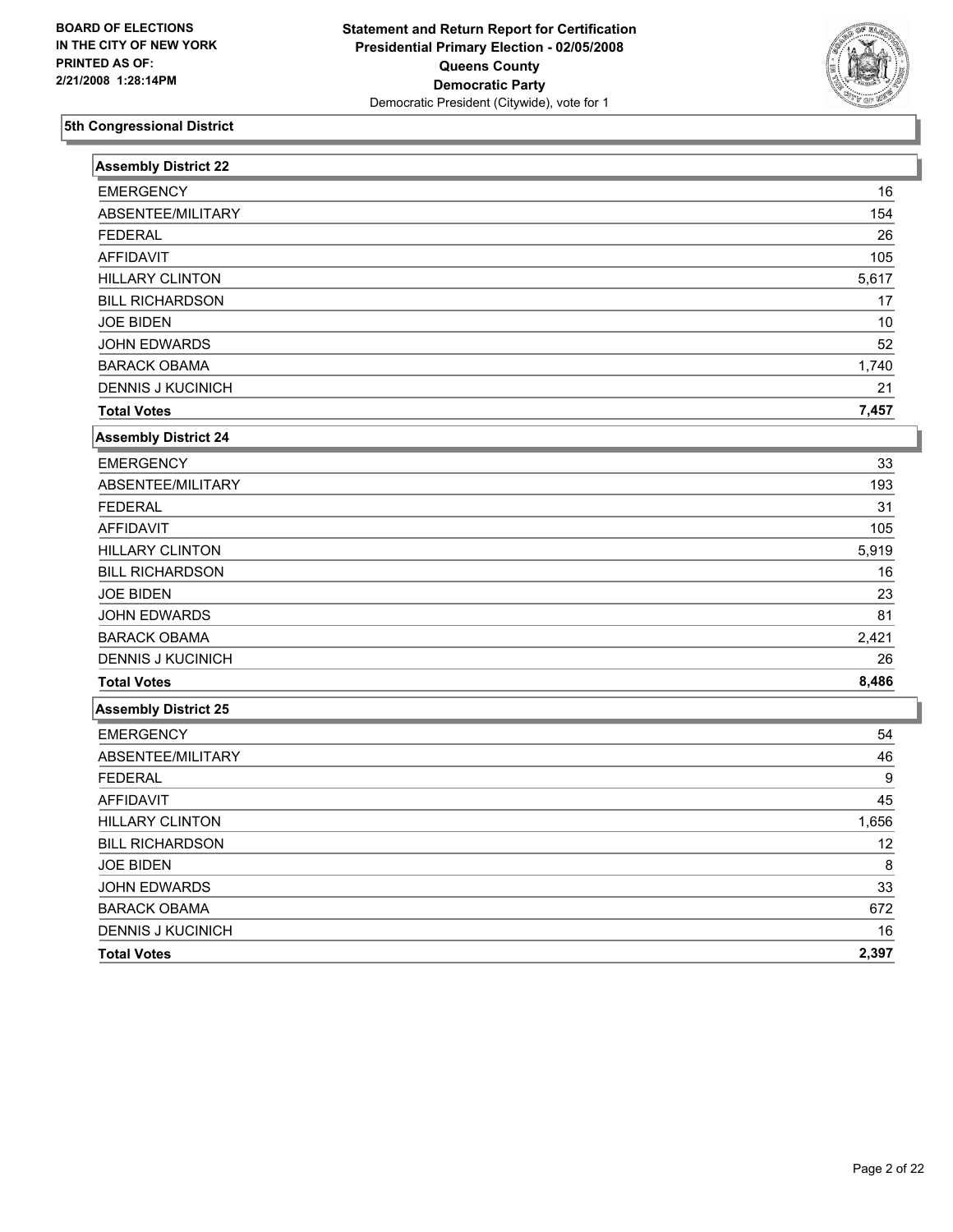

| <b>Assembly District 22</b> |       |
|-----------------------------|-------|
| <b>EMERGENCY</b>            | 16    |
| ABSENTEE/MILITARY           | 154   |
| <b>FEDERAL</b>              | 26    |
| <b>AFFIDAVIT</b>            | 105   |
| <b>HILLARY CLINTON</b>      | 5,617 |
| <b>BILL RICHARDSON</b>      | 17    |
| <b>JOE BIDEN</b>            | 10    |
| <b>JOHN EDWARDS</b>         | 52    |
| <b>BARACK OBAMA</b>         | 1,740 |
| <b>DENNIS J KUCINICH</b>    | 21    |
| <b>Total Votes</b>          | 7,457 |
| <b>Assembly District 24</b> |       |
| <b>EMERGENCY</b>            | 33    |
| ABSENTEE/MILITARY           | 193   |
| <b>FEDERAL</b>              | 31    |
| <b>AFFIDAVIT</b>            | 105   |
| <b>HILLARY CLINTON</b>      | 5,919 |
| <b>BILL RICHARDSON</b>      | 16    |
| <b>JOE BIDEN</b>            | 23    |
| JOHN EDWARDS                | 81    |
| <b>BARACK OBAMA</b>         | 2,421 |
| <b>DENNIS J KUCINICH</b>    | 26    |
| <b>Total Votes</b>          | 8,486 |
| <b>Assembly District 25</b> |       |
| <b>EMERGENCY</b>            | 54    |
| ABSENTEE/MILITARY           | 46    |
| <b>FEDERAL</b>              | 9     |
| <b>AFFIDAVIT</b>            | 45    |
| <b>HILLARY CLINTON</b>      | 1,656 |
| <b>BILL RICHARDSON</b>      | 12    |
| <b>JOE BIDEN</b>            | 8     |
| <b>JOHN EDWARDS</b>         | 33    |
| <b>BARACK OBAMA</b>         | 672   |
| <b>DENNIS J KUCINICH</b>    | 16    |
| <b>Total Votes</b>          | 2,397 |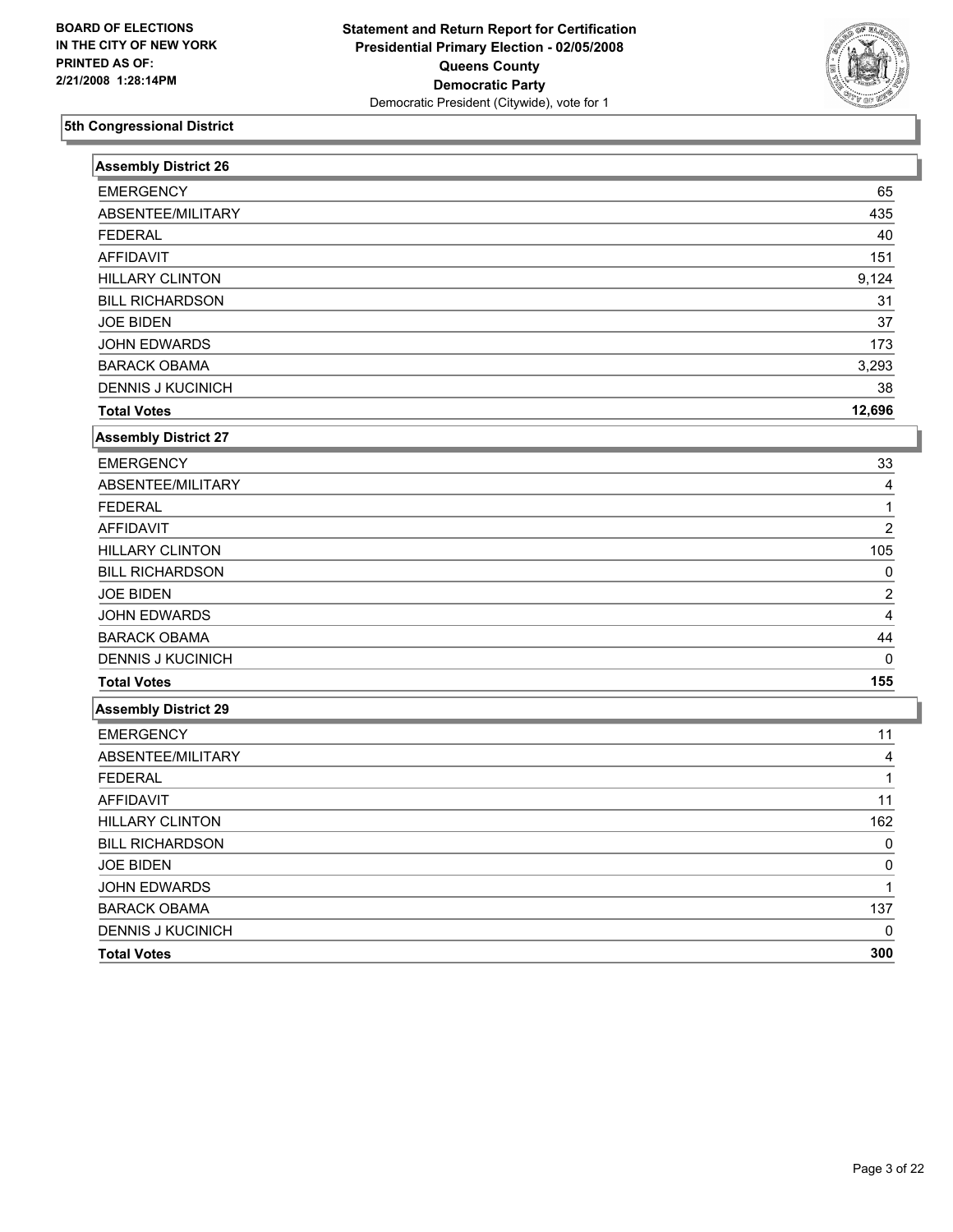

| <b>Assembly District 26</b> |                |
|-----------------------------|----------------|
| <b>EMERGENCY</b>            | 65             |
| ABSENTEE/MILITARY           | 435            |
| <b>FEDERAL</b>              | 40             |
| <b>AFFIDAVIT</b>            | 151            |
| <b>HILLARY CLINTON</b>      | 9,124          |
| <b>BILL RICHARDSON</b>      | 31             |
| <b>JOE BIDEN</b>            | 37             |
| <b>JOHN EDWARDS</b>         | 173            |
| <b>BARACK OBAMA</b>         | 3,293          |
| <b>DENNIS J KUCINICH</b>    | 38             |
| <b>Total Votes</b>          | 12,696         |
| Assembly District 27        |                |
| <b>EMERGENCY</b>            | 33             |
| ABSENTEE/MILITARY           | 4              |
| <b>FEDERAL</b>              | 1              |
| <b>AFFIDAVIT</b>            | $\overline{2}$ |
| <b>HILLARY CLINTON</b>      | 105            |
| <b>BILL RICHARDSON</b>      | $\Omega$       |
| <b>JOE BIDEN</b>            | $\overline{2}$ |
| <b>JOHN EDWARDS</b>         | 4              |
| <b>BARACK OBAMA</b>         | 44             |
| <b>DENNIS J KUCINICH</b>    | $\Omega$       |
| <b>Total Votes</b>          | 155            |
| <b>Assembly District 29</b> |                |
| <b>EMERGENCY</b>            | 11             |
| ABSENTEE/MILITARY           | 4              |
| <b>FEDERAL</b>              | 1              |
| <b>AFFIDAVIT</b>            | 11             |
| <b>HILLARY CLINTON</b>      | 162            |
| <b>BILL RICHARDSON</b>      | $\Omega$       |
| <b>JOE BIDEN</b>            | 0              |
| JOHN EDWARDS                | 1              |
| <b>BARACK OBAMA</b>         | 137            |
| <b>DENNIS J KUCINICH</b>    | $\Omega$       |
| <b>Total Votes</b>          | 300            |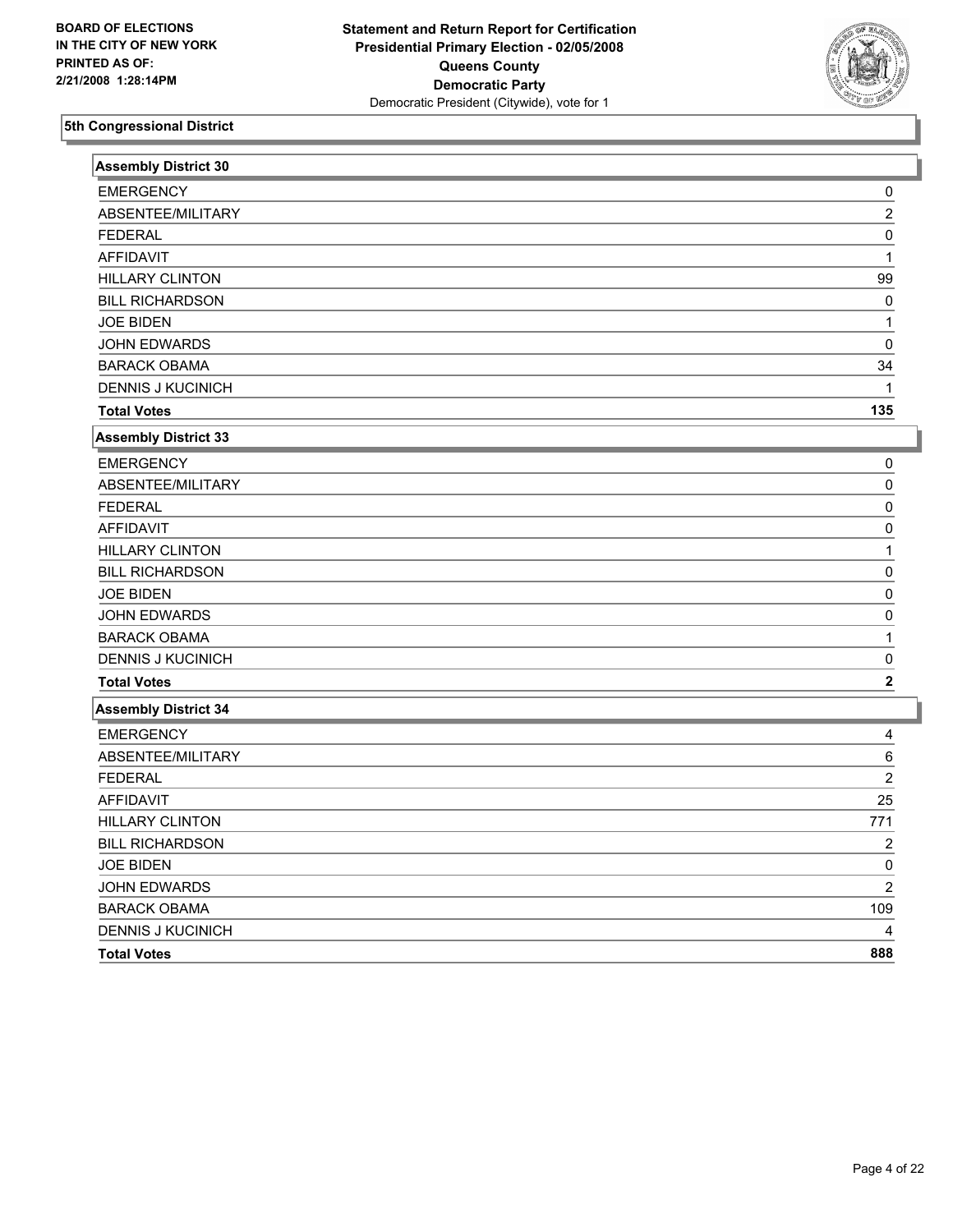

| <b>Assembly District 30</b> |                |
|-----------------------------|----------------|
| <b>EMERGENCY</b>            | 0              |
| ABSENTEE/MILITARY           | $\overline{2}$ |
| <b>FEDERAL</b>              | 0              |
| AFFIDAVIT                   | 1              |
| <b>HILLARY CLINTON</b>      | 99             |
| <b>BILL RICHARDSON</b>      | 0              |
| <b>JOE BIDEN</b>            | 1              |
| JOHN EDWARDS                | 0              |
| <b>BARACK OBAMA</b>         | 34             |
| <b>DENNIS J KUCINICH</b>    |                |
| <b>Total Votes</b>          | 135            |
| <b>Assembly District 33</b> |                |
| <b>EMERGENCY</b>            | 0              |
| ABSENTEE/MILITARY           | 0              |
| <b>FEDERAL</b>              | $\Omega$       |
| <b>AFFIDAVIT</b>            | $\Omega$       |
| <b>HILLARY CLINTON</b>      | 1              |
| <b>BILL RICHARDSON</b>      | $\Omega$       |
| <b>JOE BIDEN</b>            | 0              |
| JOHN EDWARDS                | $\Omega$       |
| <b>BARACK OBAMA</b>         | 1              |
| <b>DENNIS J KUCINICH</b>    | 0              |
| <b>Total Votes</b>          | $\mathbf 2$    |
| <b>Assembly District 34</b> |                |
| <b>EMERGENCY</b>            | 4              |
| ABSENTEE/MILITARY           | 6              |
| <b>FEDERAL</b>              | $\overline{2}$ |
| <b>AFFIDAVIT</b>            | 25             |
| <b>HILLARY CLINTON</b>      | 771            |
| <b>BILL RICHARDSON</b>      | $\overline{c}$ |
| <b>JOE BIDEN</b>            | $\Omega$       |
| JOHN EDWARDS                | $\overline{2}$ |
| <b>BARACK OBAMA</b>         | 109            |
| <b>DENNIS J KUCINICH</b>    |                |
| <b>Total Votes</b>          | 888            |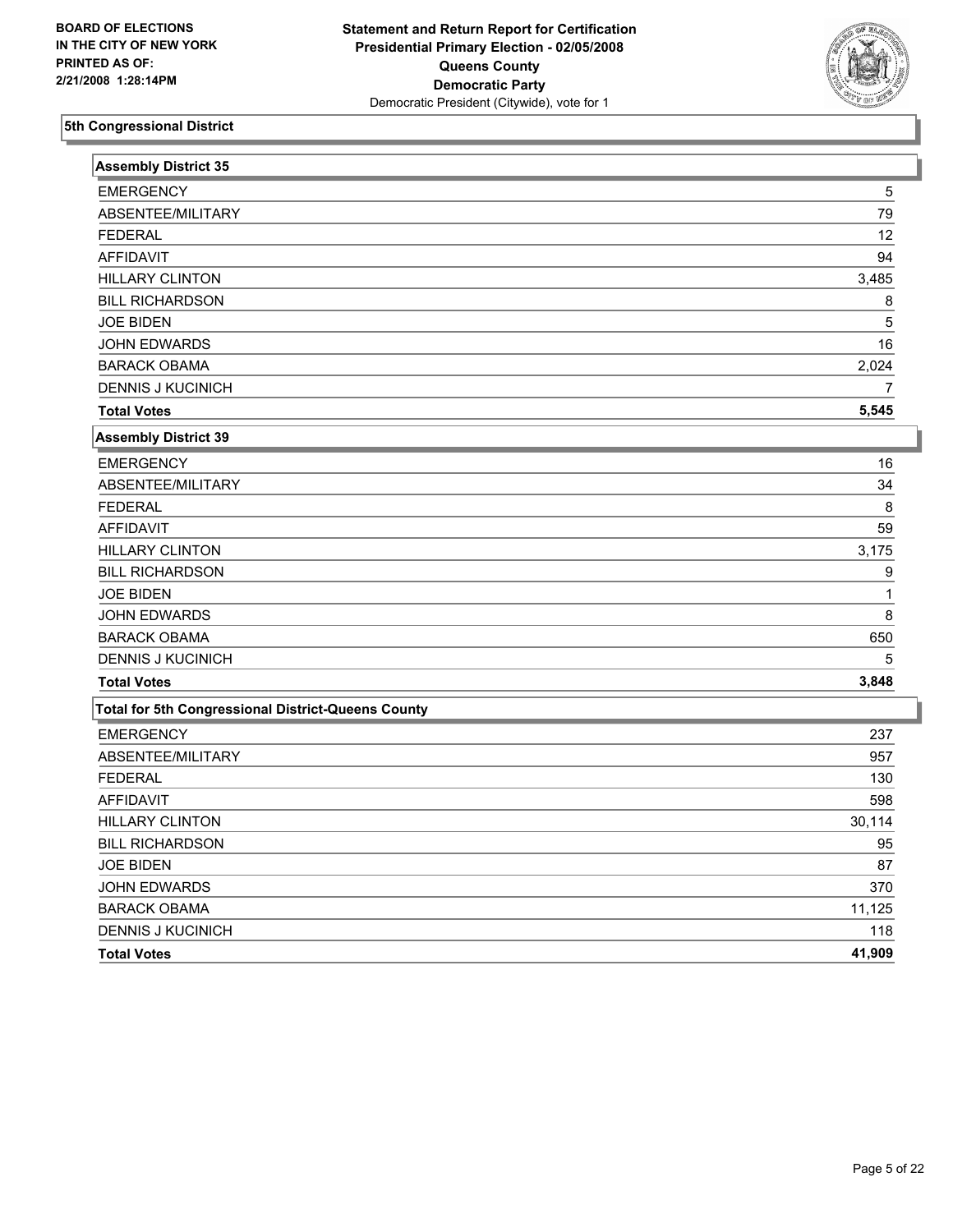

| <b>Assembly District 35</b>                        |        |
|----------------------------------------------------|--------|
| <b>EMERGENCY</b>                                   | 5      |
| ABSENTEE/MILITARY                                  | 79     |
| <b>FEDERAL</b>                                     | 12     |
| <b>AFFIDAVIT</b>                                   | 94     |
| <b>HILLARY CLINTON</b>                             | 3,485  |
| <b>BILL RICHARDSON</b>                             | 8      |
| <b>JOE BIDEN</b>                                   | 5      |
| JOHN EDWARDS                                       | 16     |
| <b>BARACK OBAMA</b>                                | 2,024  |
| <b>DENNIS J KUCINICH</b>                           | 7      |
| <b>Total Votes</b>                                 | 5,545  |
| <b>Assembly District 39</b>                        |        |
| <b>EMERGENCY</b>                                   | 16     |
| ABSENTEE/MILITARY                                  | 34     |
| <b>FEDERAL</b>                                     | 8      |
| <b>AFFIDAVIT</b>                                   | 59     |
| <b>HILLARY CLINTON</b>                             | 3,175  |
| <b>BILL RICHARDSON</b>                             | 9      |
| <b>JOE BIDEN</b>                                   | 1      |
| JOHN EDWARDS                                       | 8      |
| <b>BARACK OBAMA</b>                                | 650    |
| <b>DENNIS J KUCINICH</b>                           | 5      |
| <b>Total Votes</b>                                 | 3,848  |
| Total for 5th Congressional District-Queens County |        |
| <b>EMERGENCY</b>                                   | 237    |
| ABSENTEE/MILITARY                                  | 957    |
| <b>FEDERAL</b>                                     | 130    |
| <b>AFFIDAVIT</b>                                   | 598    |
| <b>HILLARY CLINTON</b>                             | 30,114 |
| <b>BILL RICHARDSON</b>                             | 95     |
| <b>JOE BIDEN</b>                                   | 87     |
| JOHN EDWARDS                                       | 370    |
| <b>BARACK OBAMA</b>                                | 11,125 |
| <b>DENNIS J KUCINICH</b>                           | 118    |
| <b>Total Votes</b>                                 | 41,909 |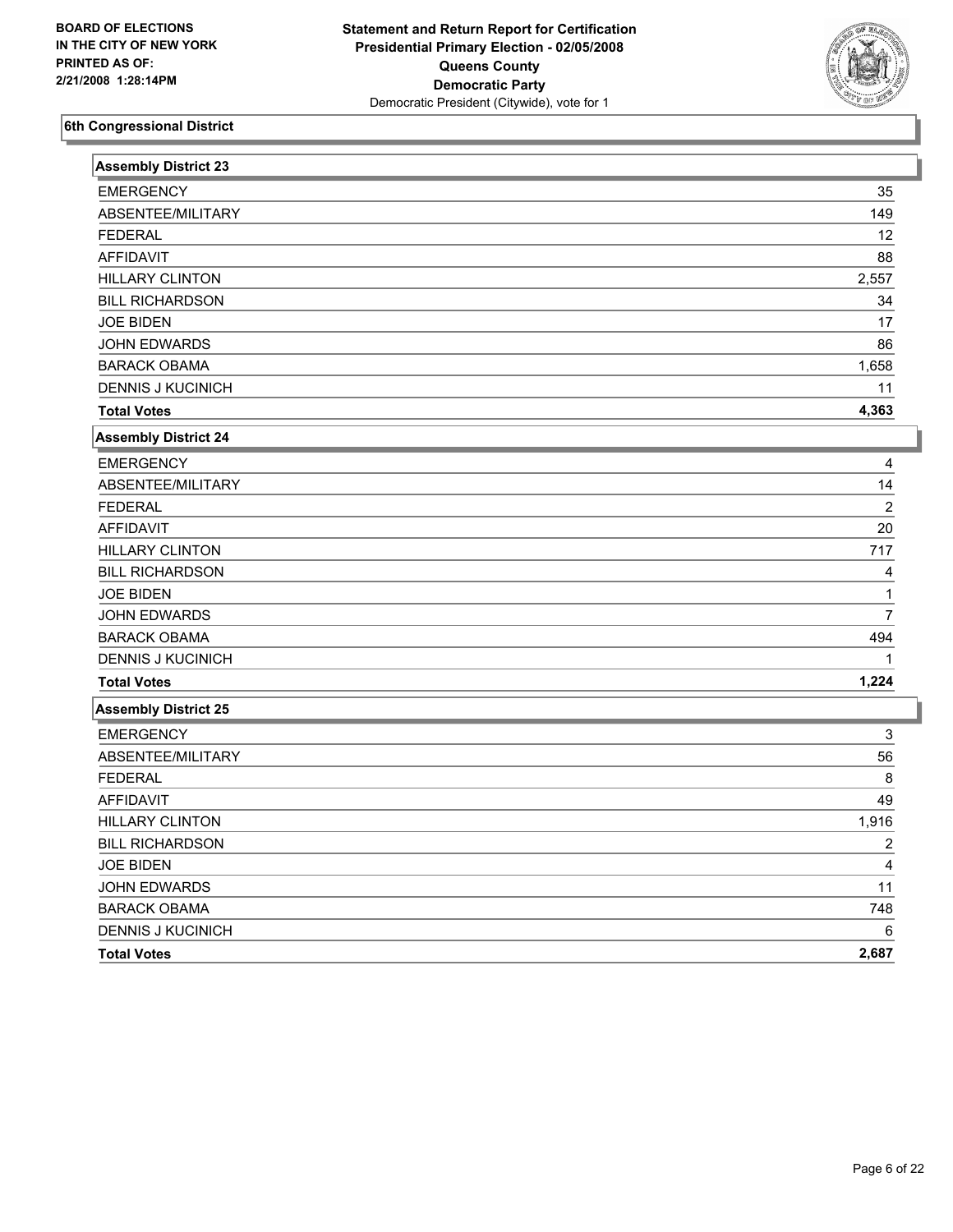

| <b>Assembly District 23</b> |                |
|-----------------------------|----------------|
| <b>EMERGENCY</b>            | 35             |
| ABSENTEE/MILITARY           | 149            |
| <b>FEDERAL</b>              | 12             |
| <b>AFFIDAVIT</b>            | 88             |
| <b>HILLARY CLINTON</b>      | 2,557          |
| <b>BILL RICHARDSON</b>      | 34             |
| <b>JOE BIDEN</b>            | 17             |
| JOHN EDWARDS                | 86             |
| <b>BARACK OBAMA</b>         | 1,658          |
| <b>DENNIS J KUCINICH</b>    | 11             |
| <b>Total Votes</b>          | 4,363          |
| <b>Assembly District 24</b> |                |
| <b>EMERGENCY</b>            | 4              |
| ABSENTEE/MILITARY           | 14             |
| <b>FEDERAL</b>              | $\overline{2}$ |
| <b>AFFIDAVIT</b>            | 20             |
| <b>HILLARY CLINTON</b>      | 717            |
| <b>BILL RICHARDSON</b>      | 4              |
| <b>JOE BIDEN</b>            |                |
| JOHN EDWARDS                | $\overline{7}$ |
| <b>BARACK OBAMA</b>         | 494            |
| <b>DENNIS J KUCINICH</b>    |                |
| <b>Total Votes</b>          | 1,224          |
| <b>Assembly District 25</b> |                |
| <b>EMERGENCY</b>            | 3              |
| ABSENTEE/MILITARY           | 56             |
| <b>FEDERAL</b>              | 8              |
| <b>AFFIDAVIT</b>            | 49             |
| <b>HILLARY CLINTON</b>      | 1,916          |
| <b>BILL RICHARDSON</b>      | 2              |
| <b>JOE BIDEN</b>            | 4              |
| JOHN EDWARDS                | 11             |
| <b>BARACK OBAMA</b>         | 748            |
| <b>DENNIS J KUCINICH</b>    | 6              |
| <b>Total Votes</b>          | 2,687          |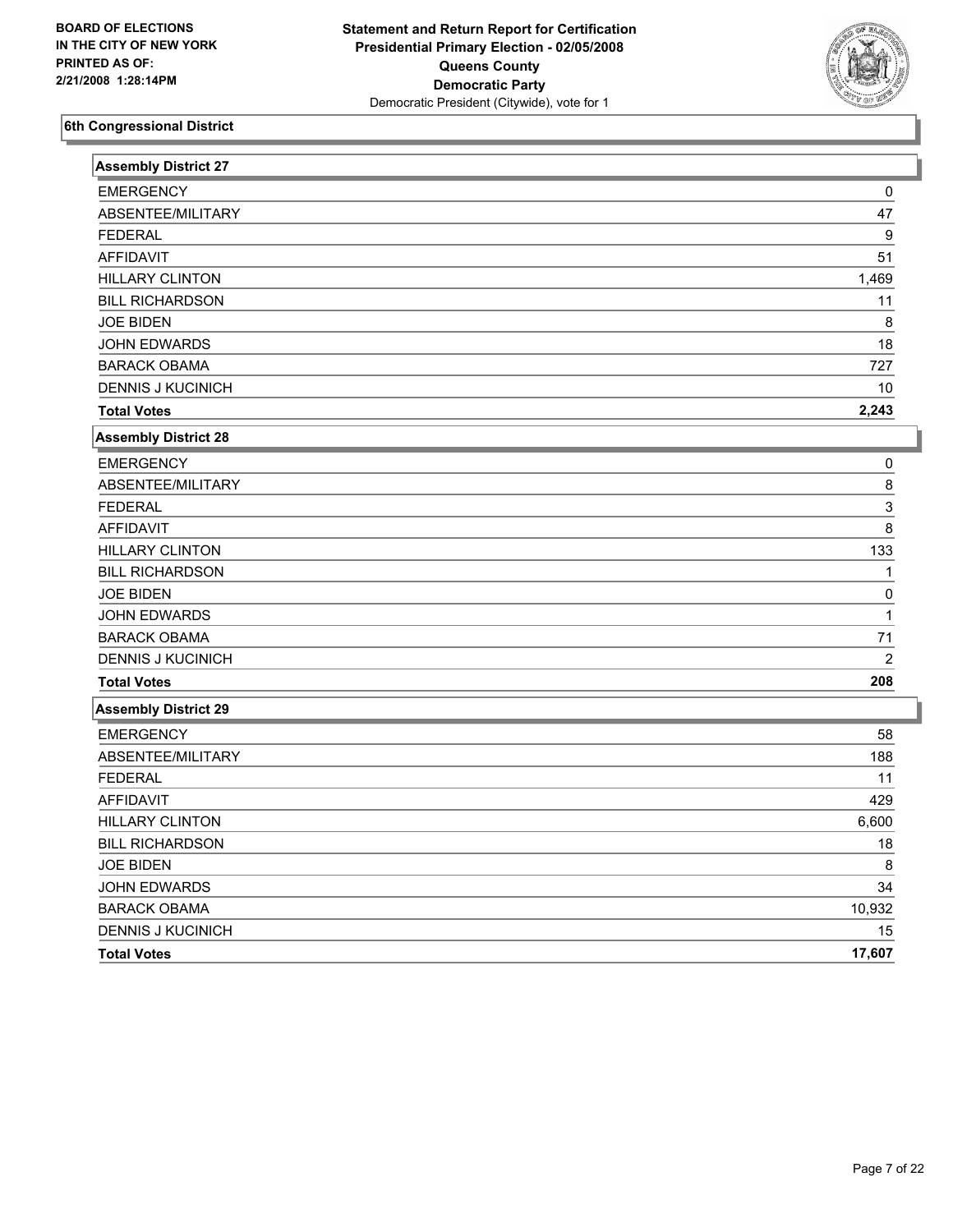

| <b>Assembly District 27</b> |                |
|-----------------------------|----------------|
| <b>EMERGENCY</b>            | 0              |
| ABSENTEE/MILITARY           | 47             |
| <b>FEDERAL</b>              | 9              |
| <b>AFFIDAVIT</b>            | 51             |
| <b>HILLARY CLINTON</b>      | 1,469          |
| <b>BILL RICHARDSON</b>      | 11             |
| <b>JOE BIDEN</b>            | 8              |
| JOHN EDWARDS                | 18             |
| <b>BARACK OBAMA</b>         | 727            |
| <b>DENNIS J KUCINICH</b>    | 10             |
| <b>Total Votes</b>          | 2,243          |
| <b>Assembly District 28</b> |                |
| <b>EMERGENCY</b>            | 0              |
| ABSENTEE/MILITARY           | 8              |
| <b>FEDERAL</b>              | 3              |
| <b>AFFIDAVIT</b>            | 8              |
| <b>HILLARY CLINTON</b>      | 133            |
| <b>BILL RICHARDSON</b>      | 1              |
| <b>JOE BIDEN</b>            | 0              |
| <b>JOHN EDWARDS</b>         | 1              |
| <b>BARACK OBAMA</b>         | 71             |
| <b>DENNIS J KUCINICH</b>    | $\overline{2}$ |
| <b>Total Votes</b>          | 208            |
| <b>Assembly District 29</b> |                |
| <b>EMERGENCY</b>            | 58             |
| ABSENTEE/MILITARY           | 188            |
| <b>FEDERAL</b>              | 11             |
| <b>AFFIDAVIT</b>            | 429            |
| <b>HILLARY CLINTON</b>      | 6,600          |
| <b>BILL RICHARDSON</b>      | 18             |
| <b>JOE BIDEN</b>            | 8              |
| <b>JOHN EDWARDS</b>         | 34             |
| <b>BARACK OBAMA</b>         | 10,932         |
| <b>DENNIS J KUCINICH</b>    | 15             |
| <b>Total Votes</b>          | 17,607         |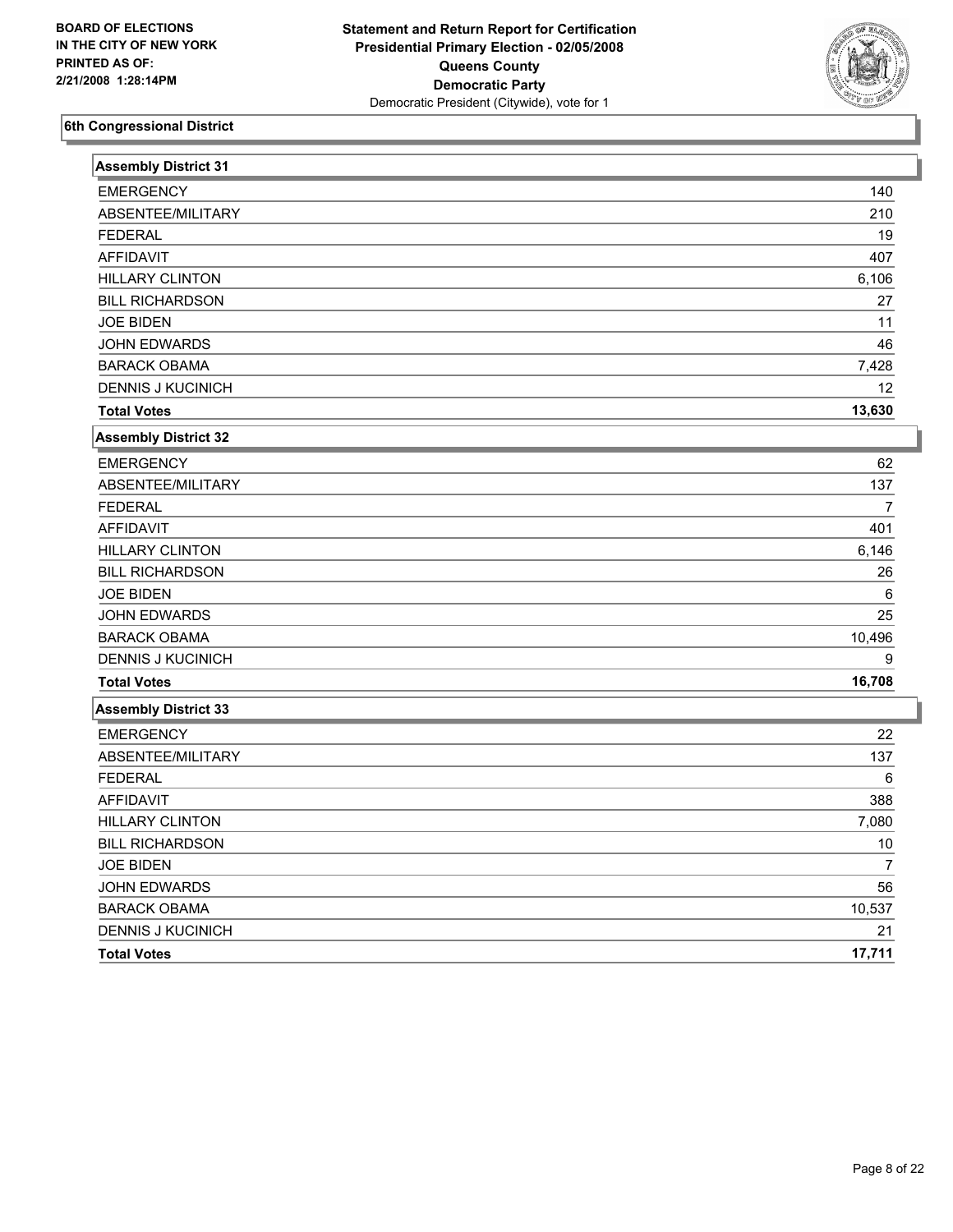

| <b>Assembly District 31</b> |                |
|-----------------------------|----------------|
| <b>EMERGENCY</b>            | 140            |
| ABSENTEE/MILITARY           | 210            |
| <b>FEDERAL</b>              | 19             |
| <b>AFFIDAVIT</b>            | 407            |
| <b>HILLARY CLINTON</b>      | 6,106          |
| <b>BILL RICHARDSON</b>      | 27             |
| <b>JOE BIDEN</b>            | 11             |
| <b>JOHN EDWARDS</b>         | 46             |
| <b>BARACK OBAMA</b>         | 7,428          |
| <b>DENNIS J KUCINICH</b>    | 12             |
| <b>Total Votes</b>          | 13,630         |
| <b>Assembly District 32</b> |                |
| <b>EMERGENCY</b>            | 62             |
| ABSENTEE/MILITARY           | 137            |
| <b>FEDERAL</b>              | 7              |
| <b>AFFIDAVIT</b>            | 401            |
| <b>HILLARY CLINTON</b>      | 6,146          |
| <b>BILL RICHARDSON</b>      | 26             |
| <b>JOE BIDEN</b>            | 6              |
| JOHN EDWARDS                | 25             |
| <b>BARACK OBAMA</b>         | 10,496         |
| <b>DENNIS J KUCINICH</b>    | 9              |
| <b>Total Votes</b>          | 16,708         |
| <b>Assembly District 33</b> |                |
| <b>EMERGENCY</b>            | 22             |
| ABSENTEE/MILITARY           | 137            |
| <b>FEDERAL</b>              | 6              |
| <b>AFFIDAVIT</b>            | 388            |
| <b>HILLARY CLINTON</b>      | 7,080          |
| <b>BILL RICHARDSON</b>      | $10$           |
| <b>JOE BIDEN</b>            | $\overline{7}$ |
| <b>JOHN EDWARDS</b>         | 56             |
| <b>BARACK OBAMA</b>         | 10,537         |
| <b>DENNIS J KUCINICH</b>    | 21             |
| <b>Total Votes</b>          | 17,711         |
|                             |                |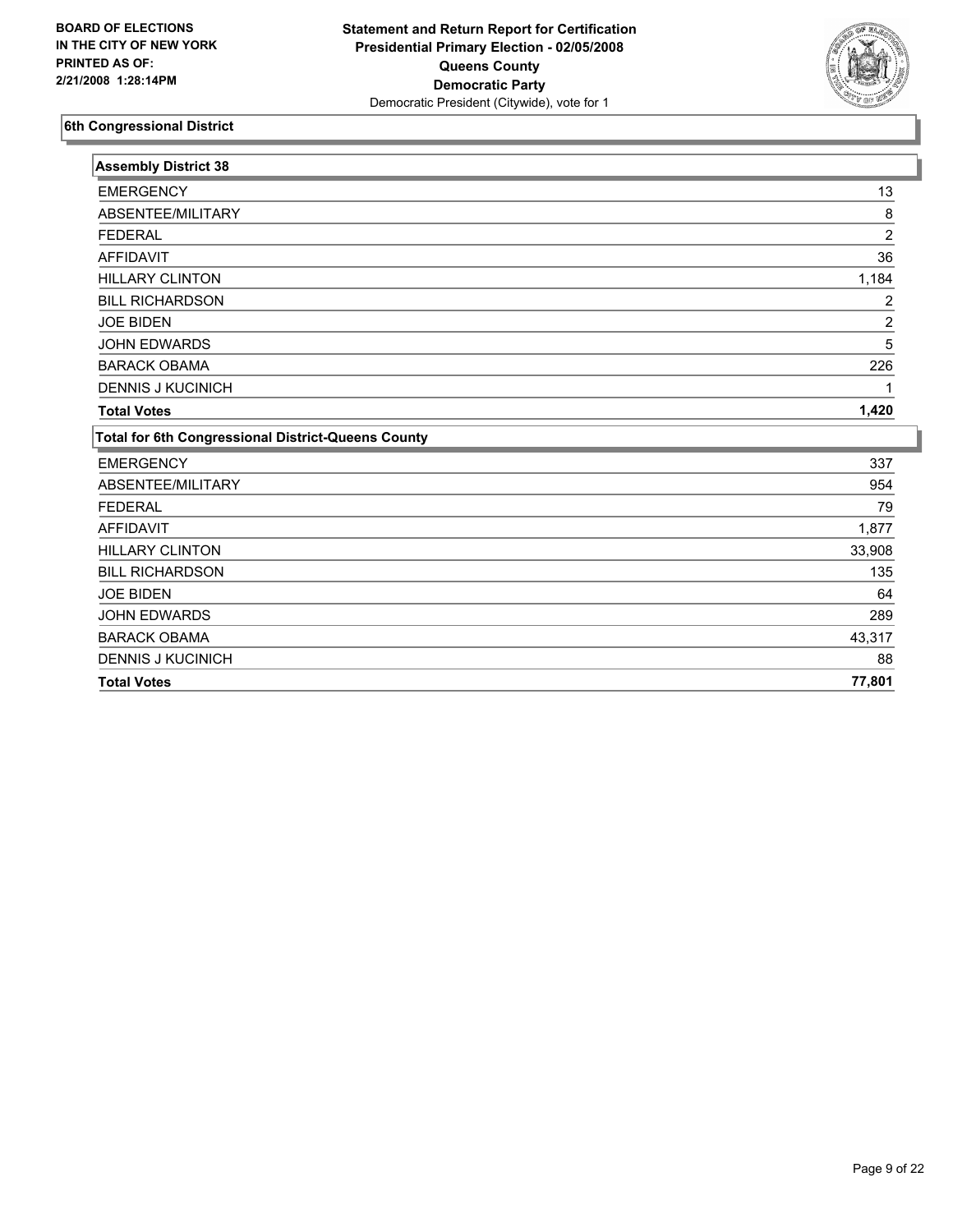

| <b>Assembly District 38</b>                        |                |
|----------------------------------------------------|----------------|
| <b>EMERGENCY</b>                                   | 13             |
| ABSENTEE/MILITARY                                  | 8              |
| <b>FEDERAL</b>                                     | $\overline{2}$ |
| <b>AFFIDAVIT</b>                                   | 36             |
| <b>HILLARY CLINTON</b>                             | 1,184          |
| <b>BILL RICHARDSON</b>                             | 2              |
| <b>JOE BIDEN</b>                                   | 2              |
| <b>JOHN EDWARDS</b>                                | 5              |
| <b>BARACK OBAMA</b>                                | 226            |
| <b>DENNIS J KUCINICH</b>                           |                |
| <b>Total Votes</b>                                 | 1,420          |
| Total for 6th Congressional District-Queens County |                |
| <b>EMERGENCY</b>                                   | 337            |
| ABSENTEE/MILITARY                                  | 954            |
| <b>FEDERAL</b>                                     | 79             |
| <b>AFFIDAVIT</b>                                   | 1,877          |
| <b>HILLARY CLINTON</b>                             | 33,908         |
| <b>BILL RICHARDSON</b>                             | 135            |
| <b>JOE BIDEN</b>                                   | 64             |
| <b>JOHN EDWARDS</b>                                | 289            |
| <b>BARACK OBAMA</b>                                | 43,317         |
| <b>DENNIS J KUCINICH</b>                           | 88             |
| <b>Total Votes</b>                                 | 77,801         |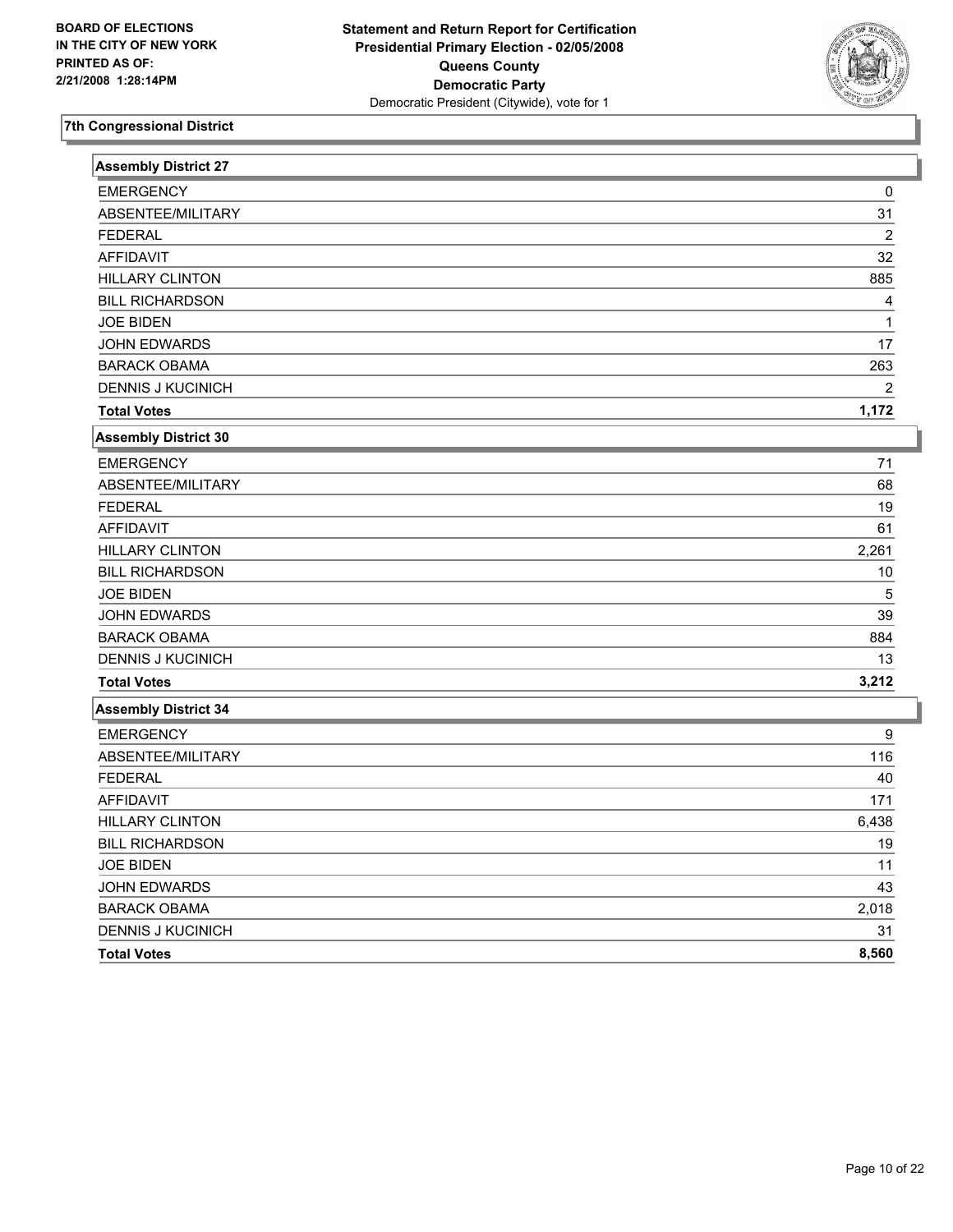

| <b>Assembly District 27</b> |                |
|-----------------------------|----------------|
| <b>EMERGENCY</b>            | 0              |
| ABSENTEE/MILITARY           | 31             |
| <b>FEDERAL</b>              | $\overline{c}$ |
| <b>AFFIDAVIT</b>            | 32             |
| <b>HILLARY CLINTON</b>      | 885            |
| <b>BILL RICHARDSON</b>      | 4              |
| <b>JOE BIDEN</b>            | 1              |
| <b>JOHN EDWARDS</b>         | 17             |
| <b>BARACK OBAMA</b>         | 263            |
| <b>DENNIS J KUCINICH</b>    | $\overline{2}$ |
| <b>Total Votes</b>          | 1,172          |
| Assembly District 30        |                |
| <b>EMERGENCY</b>            | 71             |
| ABSENTEE/MILITARY           | 68             |
| <b>FEDERAL</b>              | 19             |
| AFFIDAVIT                   | 61             |
| <b>HILLARY CLINTON</b>      | 2,261          |
| <b>BILL RICHARDSON</b>      | 10             |
| <b>JOE BIDEN</b>            | 5              |
| JOHN EDWARDS                | 39             |
| <b>BARACK OBAMA</b>         | 884            |
| <b>DENNIS J KUCINICH</b>    | 13             |
| <b>Total Votes</b>          | 3,212          |
| <b>Assembly District 34</b> |                |
| <b>EMERGENCY</b>            | 9              |
| ABSENTEE/MILITARY           | 116            |
| <b>FEDERAL</b>              | 40             |
| <b>AFFIDAVIT</b>            | 171            |
| <b>HILLARY CLINTON</b>      | 6,438          |
| <b>BILL RICHARDSON</b>      | 19             |
| <b>JOE BIDEN</b>            | 11             |
| JOHN EDWARDS                | 43             |
| <b>BARACK OBAMA</b>         | 2,018          |
| <b>DENNIS J KUCINICH</b>    | 31             |
| <b>Total Votes</b>          | 8,560          |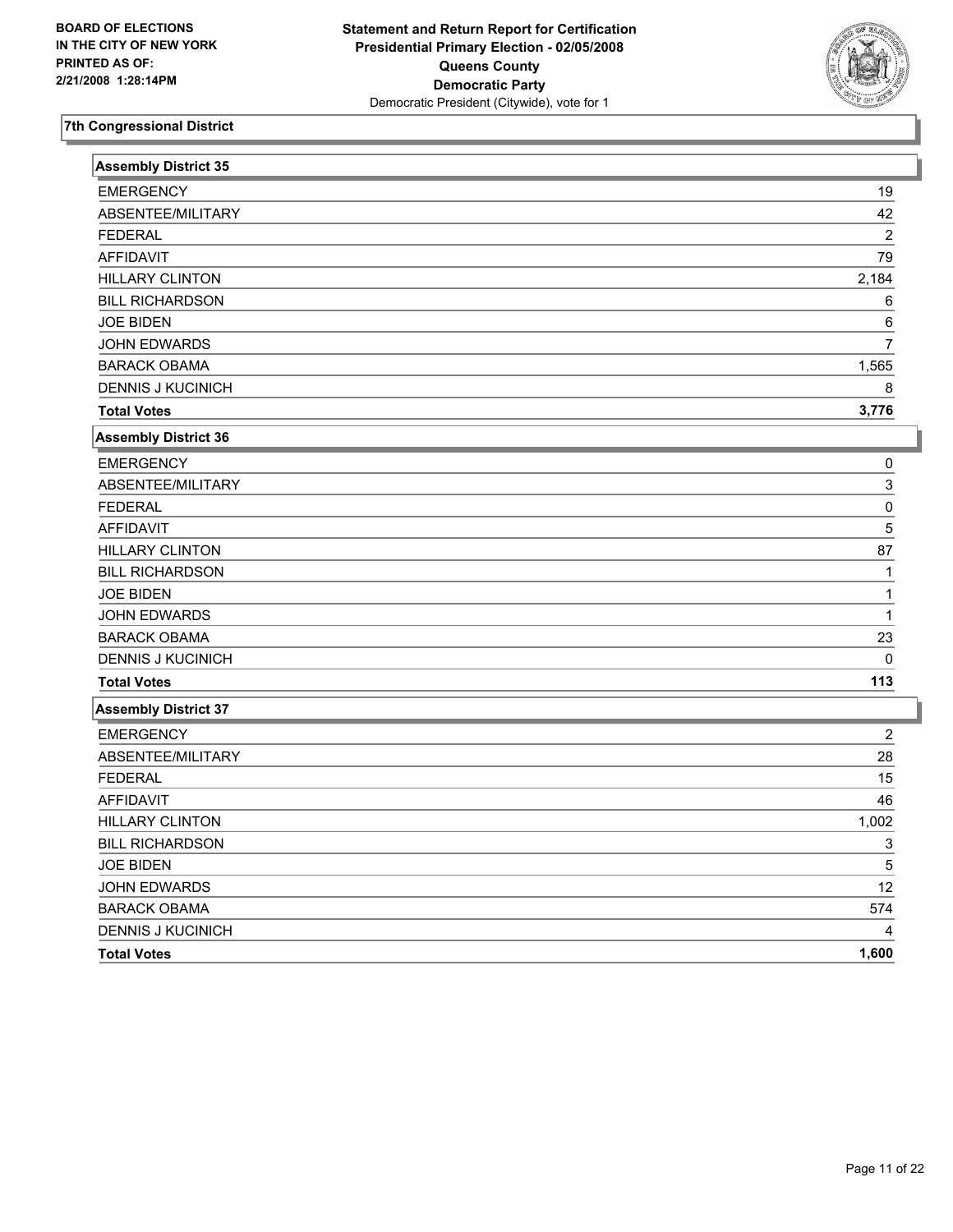

| <b>Assembly District 35</b> |                |
|-----------------------------|----------------|
| <b>EMERGENCY</b>            | 19             |
| ABSENTEE/MILITARY           | 42             |
| <b>FEDERAL</b>              | $\overline{c}$ |
| <b>AFFIDAVIT</b>            | 79             |
| <b>HILLARY CLINTON</b>      | 2,184          |
| <b>BILL RICHARDSON</b>      | 6              |
| <b>JOE BIDEN</b>            | 6              |
| <b>JOHN EDWARDS</b>         | $\overline{7}$ |
| <b>BARACK OBAMA</b>         | 1,565          |
| <b>DENNIS J KUCINICH</b>    | 8              |
| <b>Total Votes</b>          | 3,776          |
| <b>Assembly District 36</b> |                |
| <b>EMERGENCY</b>            | 0              |
| ABSENTEE/MILITARY           | 3              |
| <b>FEDERAL</b>              | 0              |
| <b>AFFIDAVIT</b>            | 5              |
| <b>HILLARY CLINTON</b>      | 87             |
| <b>BILL RICHARDSON</b>      |                |
| <b>JOE BIDEN</b>            |                |
| <b>JOHN EDWARDS</b>         | 1              |
| <b>BARACK OBAMA</b>         | 23             |
| <b>DENNIS J KUCINICH</b>    | $\Omega$       |
| <b>Total Votes</b>          | 113            |
| <b>Assembly District 37</b> |                |
| <b>EMERGENCY</b>            | $\overline{2}$ |
| ABSENTEE/MILITARY           | 28             |
| <b>FEDERAL</b>              | 15             |
| <b>AFFIDAVIT</b>            | 46             |
| <b>HILLARY CLINTON</b>      | 1,002          |
| <b>BILL RICHARDSON</b>      | 3              |
| <b>JOE BIDEN</b>            | 5              |
| JOHN EDWARDS                | 12             |
| <b>BARACK OBAMA</b>         | 574            |
| <b>DENNIS J KUCINICH</b>    |                |
| <b>Total Votes</b>          | 1,600          |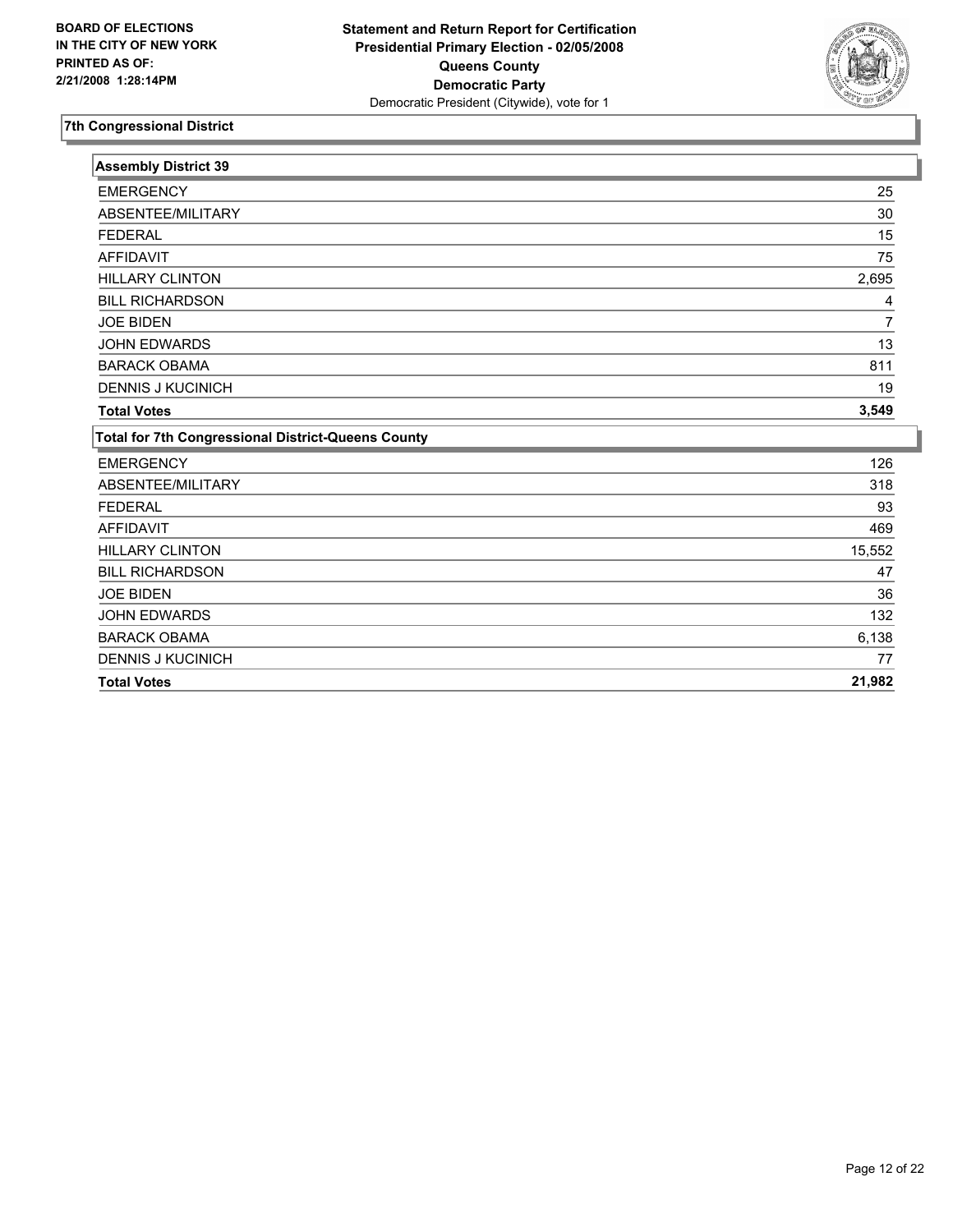

| <b>Assembly District 39</b>                               |        |
|-----------------------------------------------------------|--------|
| <b>EMERGENCY</b>                                          | 25     |
| ABSENTEE/MILITARY                                         | 30     |
| <b>FEDERAL</b>                                            | 15     |
| <b>AFFIDAVIT</b>                                          | 75     |
| <b>HILLARY CLINTON</b>                                    | 2,695  |
| <b>BILL RICHARDSON</b>                                    | 4      |
| <b>JOE BIDEN</b>                                          |        |
| <b>JOHN EDWARDS</b>                                       | 13     |
| <b>BARACK OBAMA</b>                                       | 811    |
| <b>DENNIS J KUCINICH</b>                                  | 19     |
| <b>Total Votes</b>                                        | 3,549  |
| <b>Total for 7th Congressional District-Queens County</b> |        |
| <b>EMERGENCY</b>                                          | 126    |
| ABSENTEE/MILITARY                                         | 318    |
| <b>FEDERAL</b>                                            | 93     |
| <b>AFFIDAVIT</b>                                          | 469    |
| <b>HILLARY CLINTON</b>                                    | 15,552 |
| <b>BILL RICHARDSON</b>                                    | 47     |
| <b>JOE BIDEN</b>                                          | 36     |
| <b>JOHN EDWARDS</b>                                       | 132    |
| <b>BARACK OBAMA</b>                                       | 6,138  |
| <b>DENNIS J KUCINICH</b>                                  | 77     |
| <b>Total Votes</b>                                        | 21,982 |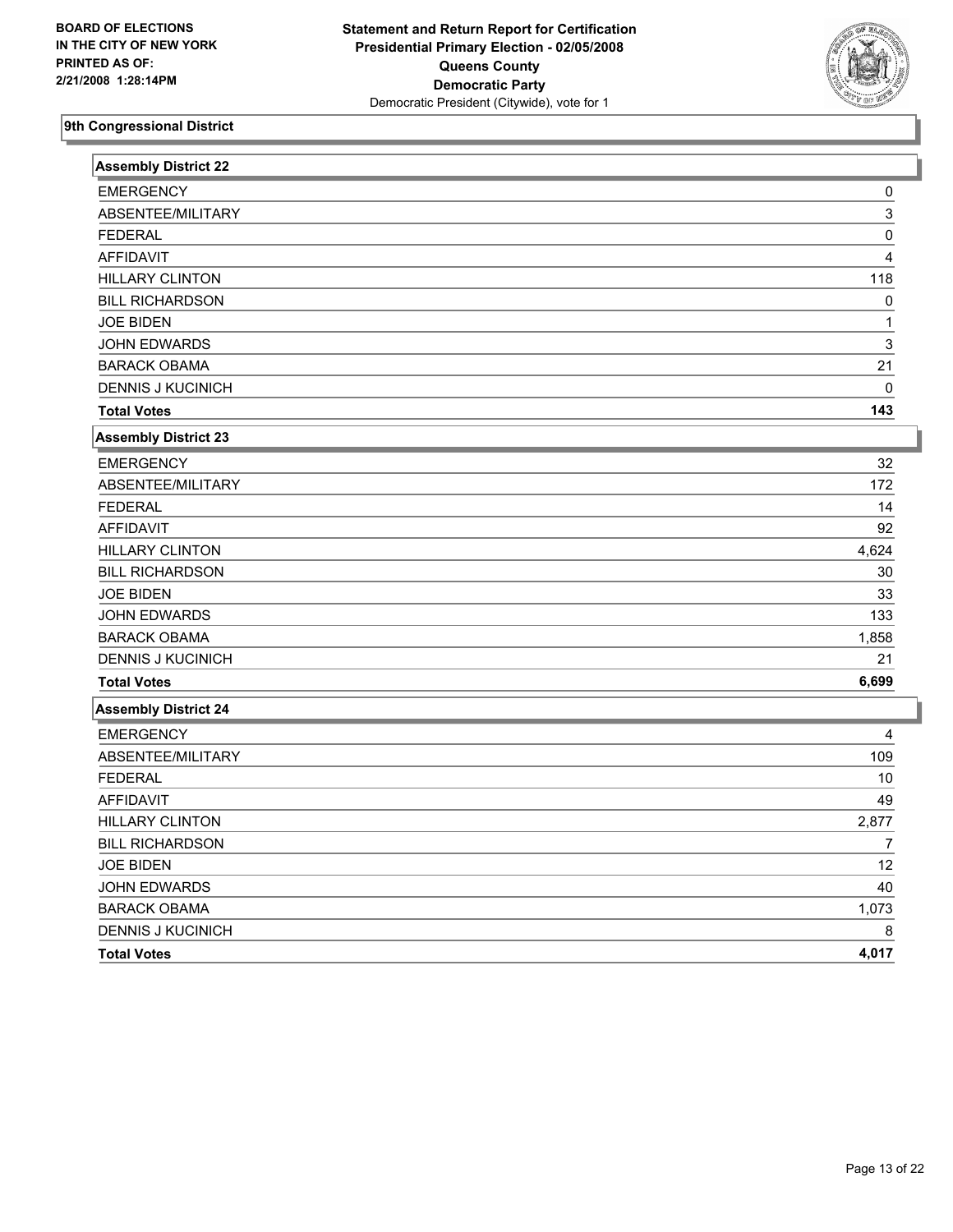

| <b>Assembly District 22</b> |                |
|-----------------------------|----------------|
| <b>EMERGENCY</b>            | 0              |
| ABSENTEE/MILITARY           | 3              |
| <b>FEDERAL</b>              | 0              |
| <b>AFFIDAVIT</b>            | 4              |
| <b>HILLARY CLINTON</b>      | 118            |
| <b>BILL RICHARDSON</b>      | 0              |
| <b>JOE BIDEN</b>            | 1              |
| <b>JOHN EDWARDS</b>         | 3              |
| <b>BARACK OBAMA</b>         | 21             |
| <b>DENNIS J KUCINICH</b>    | $\Omega$       |
| <b>Total Votes</b>          | 143            |
| <b>Assembly District 23</b> |                |
| <b>EMERGENCY</b>            | 32             |
| ABSENTEE/MILITARY           | 172            |
| <b>FEDERAL</b>              | 14             |
| <b>AFFIDAVIT</b>            | 92             |
| <b>HILLARY CLINTON</b>      | 4,624          |
| <b>BILL RICHARDSON</b>      | 30             |
| <b>JOE BIDEN</b>            | 33             |
| JOHN EDWARDS                | 133            |
| <b>BARACK OBAMA</b>         | 1,858          |
| <b>DENNIS J KUCINICH</b>    | 21             |
| <b>Total Votes</b>          | 6,699          |
| <b>Assembly District 24</b> |                |
| <b>EMERGENCY</b>            | 4              |
| ABSENTEE/MILITARY           | 109            |
| <b>FEDERAL</b>              | 10             |
| <b>AFFIDAVIT</b>            | 49             |
| <b>HILLARY CLINTON</b>      | 2,877          |
| <b>BILL RICHARDSON</b>      | $\overline{7}$ |
| <b>JOE BIDEN</b>            | 12             |
| <b>JOHN EDWARDS</b>         | 40             |
| <b>BARACK OBAMA</b>         | 1,073          |
| <b>DENNIS J KUCINICH</b>    | 8              |
| <b>Total Votes</b>          | 4,017          |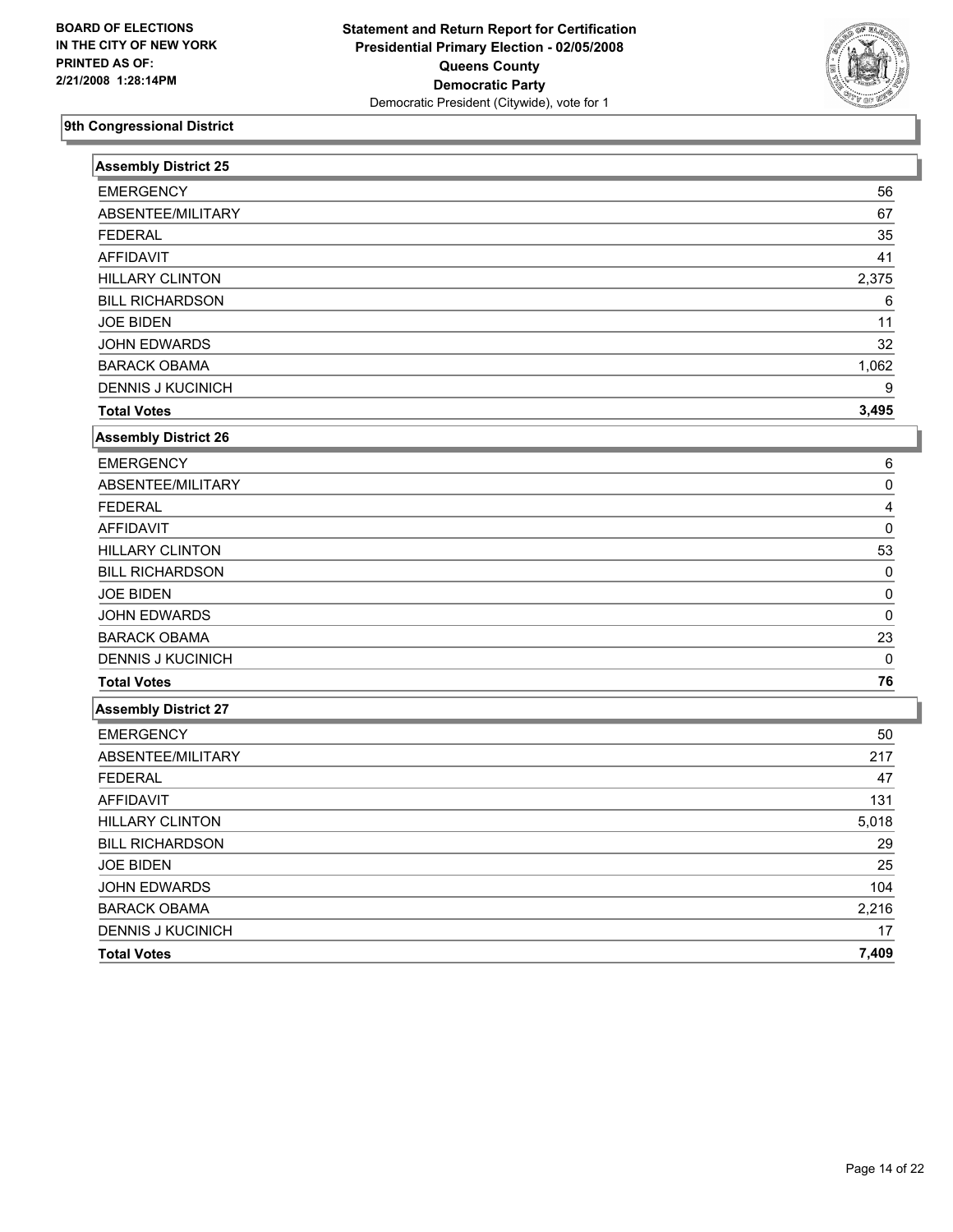

| <b>Assembly District 25</b> |             |
|-----------------------------|-------------|
| <b>EMERGENCY</b>            | 56          |
| ABSENTEE/MILITARY           | 67          |
| <b>FEDERAL</b>              | 35          |
| <b>AFFIDAVIT</b>            | 41          |
| <b>HILLARY CLINTON</b>      | 2,375       |
| <b>BILL RICHARDSON</b>      | 6           |
| <b>JOE BIDEN</b>            | 11          |
| <b>JOHN EDWARDS</b>         | 32          |
| <b>BARACK OBAMA</b>         | 1,062       |
| <b>DENNIS J KUCINICH</b>    | 9           |
| <b>Total Votes</b>          | 3,495       |
| <b>Assembly District 26</b> |             |
| <b>EMERGENCY</b>            | 6           |
| ABSENTEE/MILITARY           | 0           |
| <b>FEDERAL</b>              | 4           |
| <b>AFFIDAVIT</b>            | 0           |
| <b>HILLARY CLINTON</b>      | 53          |
| <b>BILL RICHARDSON</b>      | $\Omega$    |
| <b>JOE BIDEN</b>            | $\Omega$    |
| JOHN EDWARDS                | 0           |
| <b>BARACK OBAMA</b>         | 23          |
| <b>DENNIS J KUCINICH</b>    | $\mathbf 0$ |
| <b>Total Votes</b>          | 76          |
| <b>Assembly District 27</b> |             |
| <b>EMERGENCY</b>            | 50          |
| ABSENTEE/MILITARY           | 217         |
| <b>FEDERAL</b>              | 47          |
| <b>AFFIDAVIT</b>            | 131         |
| <b>HILLARY CLINTON</b>      | 5,018       |
| <b>BILL RICHARDSON</b>      | 29          |
| <b>JOE BIDEN</b>            | 25          |
| JOHN EDWARDS                | 104         |
| <b>BARACK OBAMA</b>         | 2,216       |
| <b>DENNIS J KUCINICH</b>    | 17          |
| <b>Total Votes</b>          | 7,409       |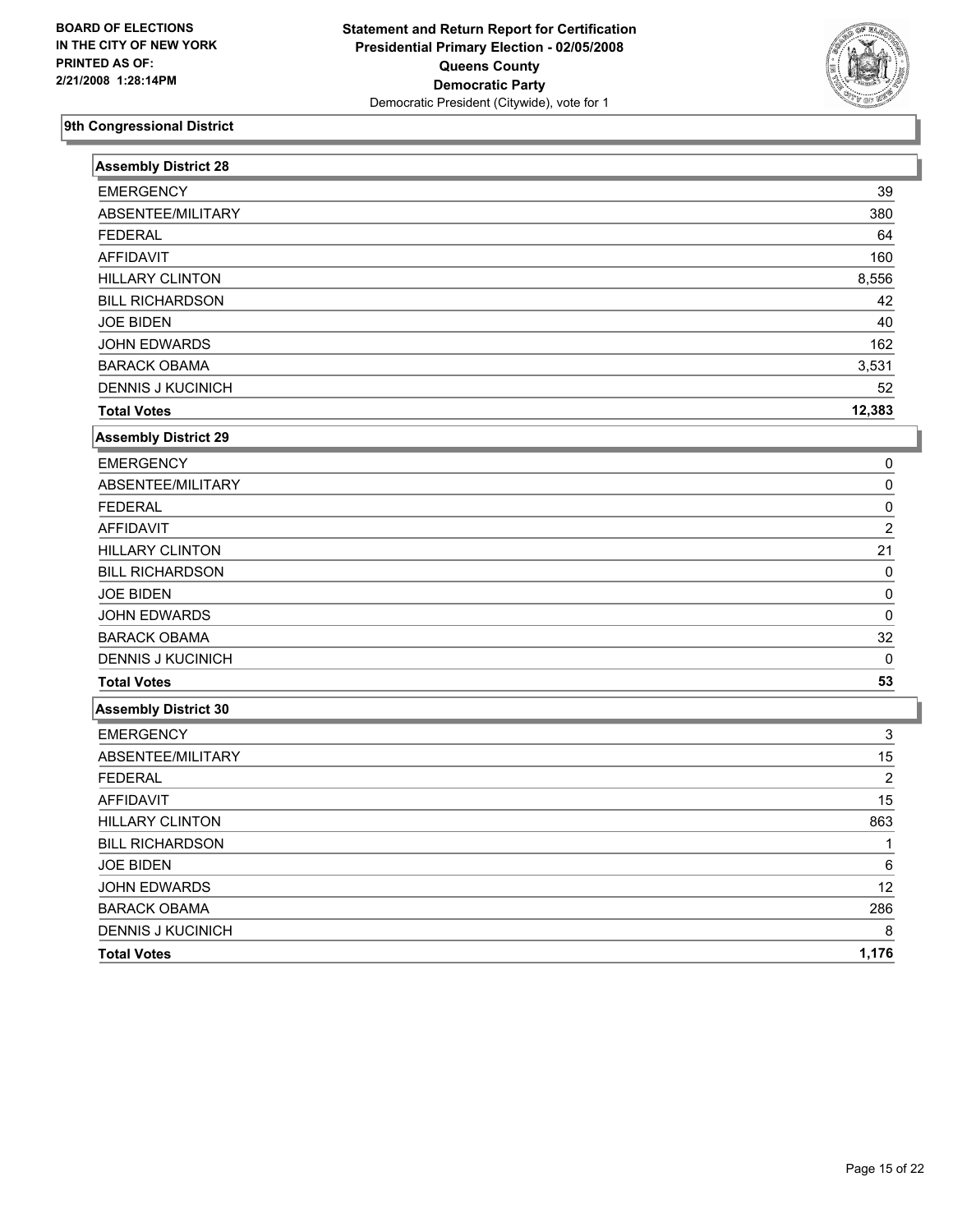

| <b>Assembly District 28</b> |                |
|-----------------------------|----------------|
| <b>EMERGENCY</b>            | 39             |
| ABSENTEE/MILITARY           | 380            |
| <b>FEDERAL</b>              | 64             |
| <b>AFFIDAVIT</b>            | 160            |
| <b>HILLARY CLINTON</b>      | 8,556          |
| <b>BILL RICHARDSON</b>      | 42             |
| <b>JOE BIDEN</b>            | 40             |
| JOHN EDWARDS                | 162            |
| <b>BARACK OBAMA</b>         | 3,531          |
| <b>DENNIS J KUCINICH</b>    | 52             |
| <b>Total Votes</b>          | 12,383         |
| Assembly District 29        |                |
| <b>EMERGENCY</b>            | 0              |
| ABSENTEE/MILITARY           | 0              |
| <b>FEDERAL</b>              | $\Omega$       |
| <b>AFFIDAVIT</b>            | $\overline{2}$ |
| <b>HILLARY CLINTON</b>      | 21             |
| <b>BILL RICHARDSON</b>      | 0              |
| <b>JOE BIDEN</b>            | 0              |
| <b>JOHN EDWARDS</b>         | 0              |
| <b>BARACK OBAMA</b>         | 32             |
| <b>DENNIS J KUCINICH</b>    | $\mathbf{0}$   |
| <b>Total Votes</b>          | 53             |
| Assembly District 30        |                |
| <b>EMERGENCY</b>            | 3              |
| ABSENTEE/MILITARY           | 15             |
| <b>FEDERAL</b>              | $\overline{2}$ |
| <b>AFFIDAVIT</b>            | 15             |
| <b>HILLARY CLINTON</b>      | 863            |
| <b>BILL RICHARDSON</b>      | 1              |
| <b>JOE BIDEN</b>            | 6              |
| JOHN EDWARDS                | 12             |
| <b>BARACK OBAMA</b>         | 286            |
| <b>DENNIS J KUCINICH</b>    | 8              |
| <b>Total Votes</b>          | 1,176          |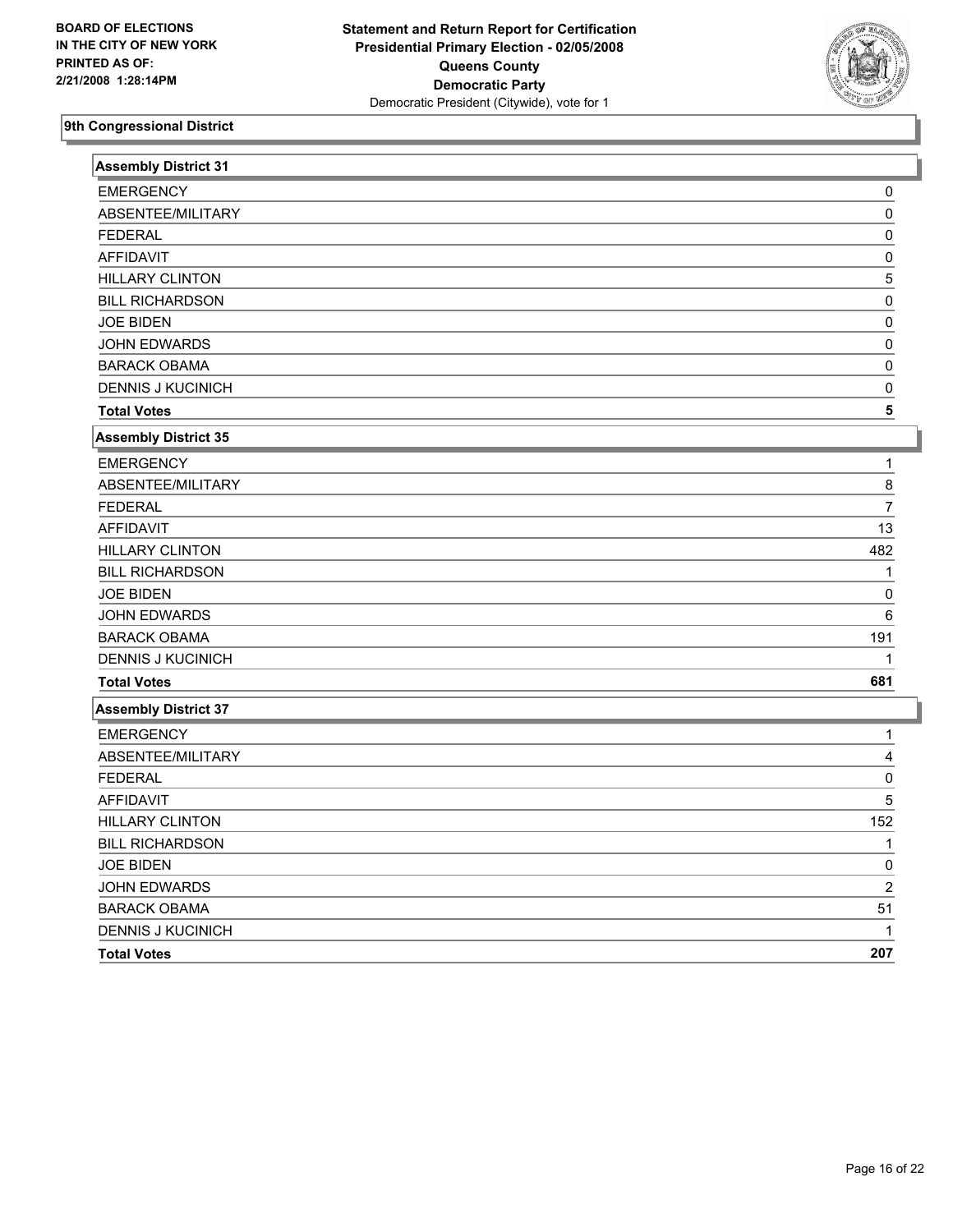

| <b>Assembly District 31</b> |                |
|-----------------------------|----------------|
| <b>EMERGENCY</b>            | 0              |
| ABSENTEE/MILITARY           | $\Omega$       |
| <b>FEDERAL</b>              | $\Omega$       |
| <b>AFFIDAVIT</b>            | $\Omega$       |
| <b>HILLARY CLINTON</b>      | 5              |
| <b>BILL RICHARDSON</b>      | 0              |
| <b>JOE BIDEN</b>            | 0              |
| JOHN EDWARDS                | 0              |
| <b>BARACK OBAMA</b>         | 0              |
| <b>DENNIS J KUCINICH</b>    | 0              |
| <b>Total Votes</b>          | 5              |
| <b>Assembly District 35</b> |                |
| <b>EMERGENCY</b>            | 1              |
| ABSENTEE/MILITARY           | 8              |
| <b>FEDERAL</b>              | $\overline{7}$ |
| <b>AFFIDAVIT</b>            | 13             |
| <b>HILLARY CLINTON</b>      | 482            |
| <b>BILL RICHARDSON</b>      |                |
| <b>JOE BIDEN</b>            | $\Omega$       |
| JOHN EDWARDS                | 6              |
| <b>BARACK OBAMA</b>         | 191            |
| <b>DENNIS J KUCINICH</b>    | 1              |
| <b>Total Votes</b>          | 681            |
| <b>Assembly District 37</b> |                |
| <b>EMERGENCY</b>            | 1              |
| ABSENTEE/MILITARY           | 4              |
| <b>FEDERAL</b>              | 0              |
| <b>AFFIDAVIT</b>            | 5              |
| <b>HILLARY CLINTON</b>      | 152            |
| <b>BILL RICHARDSON</b>      | 1              |
| <b>JOE BIDEN</b>            | 0              |
| <b>JOHN EDWARDS</b>         | $\overline{2}$ |
| <b>BARACK OBAMA</b>         | 51             |
| <b>DENNIS J KUCINICH</b>    |                |
| <b>Total Votes</b>          | 207            |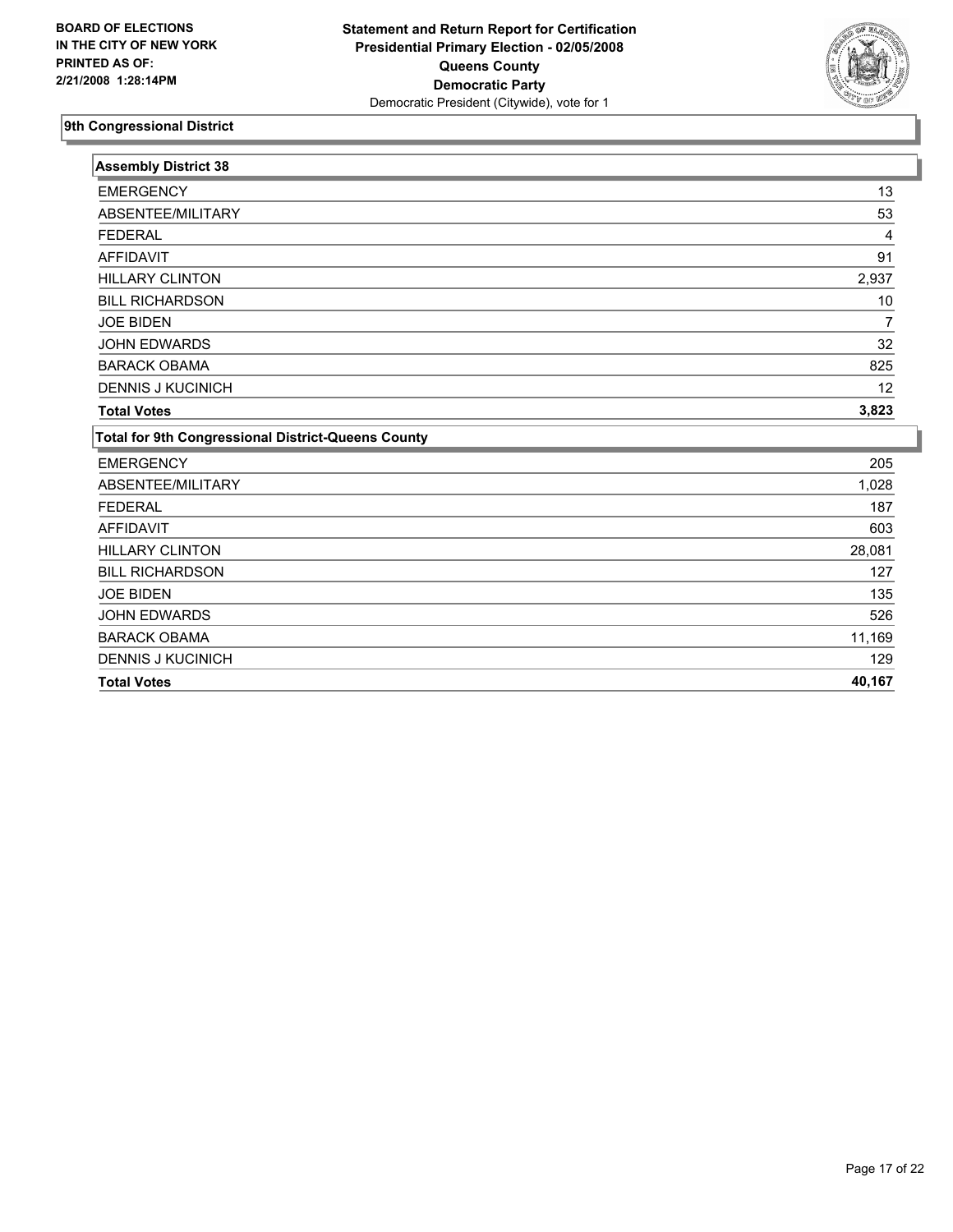

| <b>Assembly District 38</b>                        |        |
|----------------------------------------------------|--------|
| <b>EMERGENCY</b>                                   | 13     |
| ABSENTEE/MILITARY                                  | 53     |
| <b>FEDERAL</b>                                     | 4      |
| <b>AFFIDAVIT</b>                                   | 91     |
| <b>HILLARY CLINTON</b>                             | 2,937  |
| <b>BILL RICHARDSON</b>                             | 10     |
| <b>JOE BIDEN</b>                                   |        |
| <b>JOHN EDWARDS</b>                                | 32     |
| <b>BARACK OBAMA</b>                                | 825    |
| <b>DENNIS J KUCINICH</b>                           | 12     |
| <b>Total Votes</b>                                 | 3,823  |
| Total for 9th Congressional District-Queens County |        |
| <b>EMERGENCY</b>                                   | 205    |
| ABSENTEE/MILITARY                                  | 1,028  |
| <b>FEDERAL</b>                                     | 187    |
| <b>AFFIDAVIT</b>                                   | 603    |
| <b>HILLARY CLINTON</b>                             | 28,081 |
| <b>BILL RICHARDSON</b>                             | 127    |
| <b>JOE BIDEN</b>                                   | 135    |
| <b>JOHN EDWARDS</b>                                | 526    |
| <b>BARACK OBAMA</b>                                | 11,169 |
| <b>DENNIS J KUCINICH</b>                           | 129    |
| <b>Total Votes</b>                                 | 40,167 |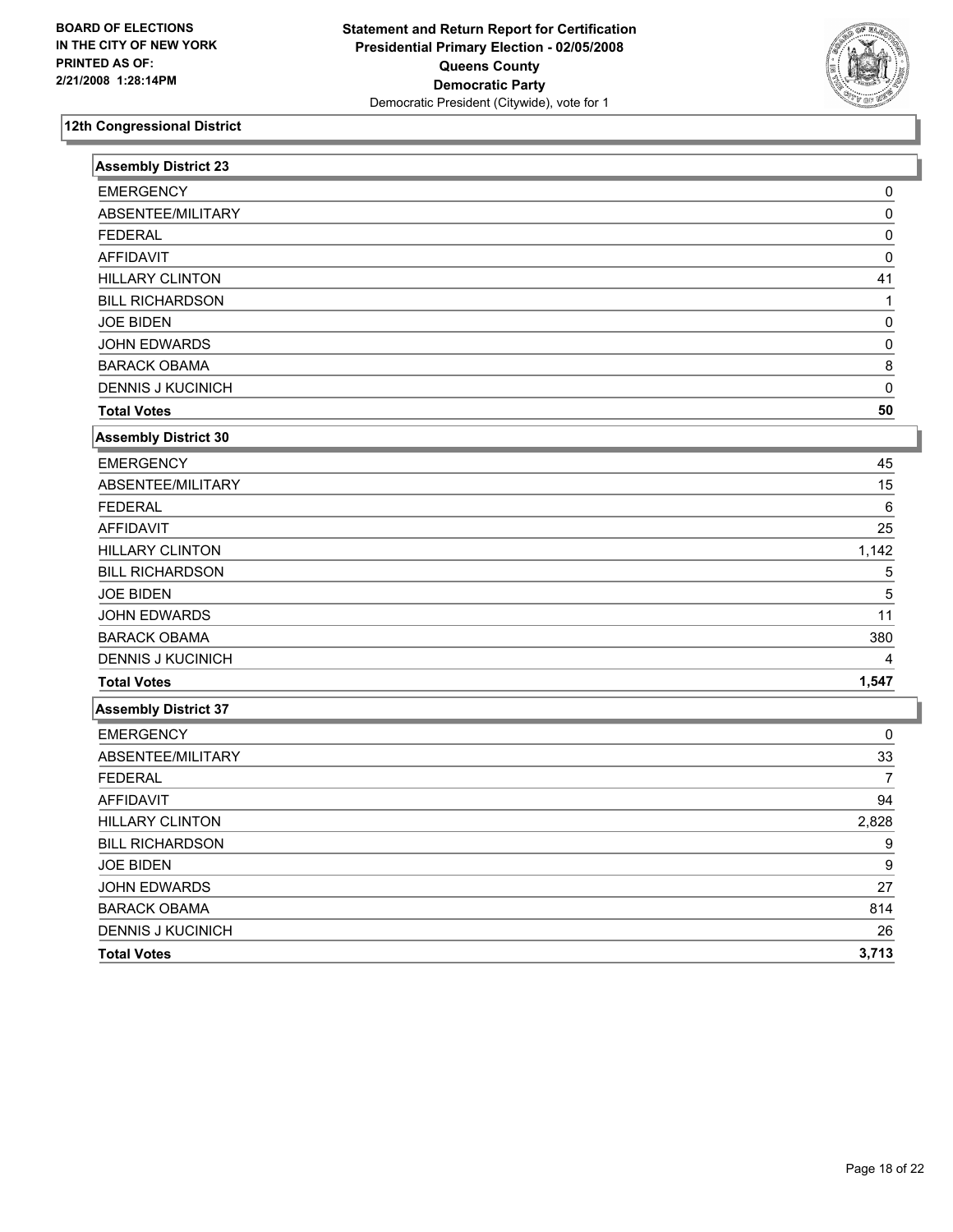

| <b>Assembly District 23</b> |                |
|-----------------------------|----------------|
| <b>EMERGENCY</b>            | 0              |
| ABSENTEE/MILITARY           | 0              |
| <b>FEDERAL</b>              | 0              |
| <b>AFFIDAVIT</b>            | 0              |
| <b>HILLARY CLINTON</b>      | 41             |
| <b>BILL RICHARDSON</b>      | 1              |
| <b>JOE BIDEN</b>            | 0              |
| JOHN EDWARDS                | 0              |
| <b>BARACK OBAMA</b>         | 8              |
| <b>DENNIS J KUCINICH</b>    | 0              |
| <b>Total Votes</b>          | 50             |
| <b>Assembly District 30</b> |                |
| <b>EMERGENCY</b>            | 45             |
| ABSENTEE/MILITARY           | 15             |
| <b>FEDERAL</b>              | 6              |
| <b>AFFIDAVIT</b>            | 25             |
| <b>HILLARY CLINTON</b>      | 1,142          |
| <b>BILL RICHARDSON</b>      | 5              |
| <b>JOE BIDEN</b>            | 5              |
| JOHN EDWARDS                | 11             |
| <b>BARACK OBAMA</b>         | 380            |
| <b>DENNIS J KUCINICH</b>    |                |
| <b>Total Votes</b>          | 1,547          |
| <b>Assembly District 37</b> |                |
| <b>EMERGENCY</b>            | 0              |
| ABSENTEE/MILITARY           | 33             |
| <b>FEDERAL</b>              | $\overline{7}$ |
| <b>AFFIDAVIT</b>            | 94             |
| <b>HILLARY CLINTON</b>      | 2,828          |
| <b>BILL RICHARDSON</b>      | 9              |
| <b>JOE BIDEN</b>            | 9              |
| <b>JOHN EDWARDS</b>         | 27             |
| <b>BARACK OBAMA</b>         | 814            |
| <b>DENNIS J KUCINICH</b>    | 26             |
| <b>Total Votes</b>          | 3,713          |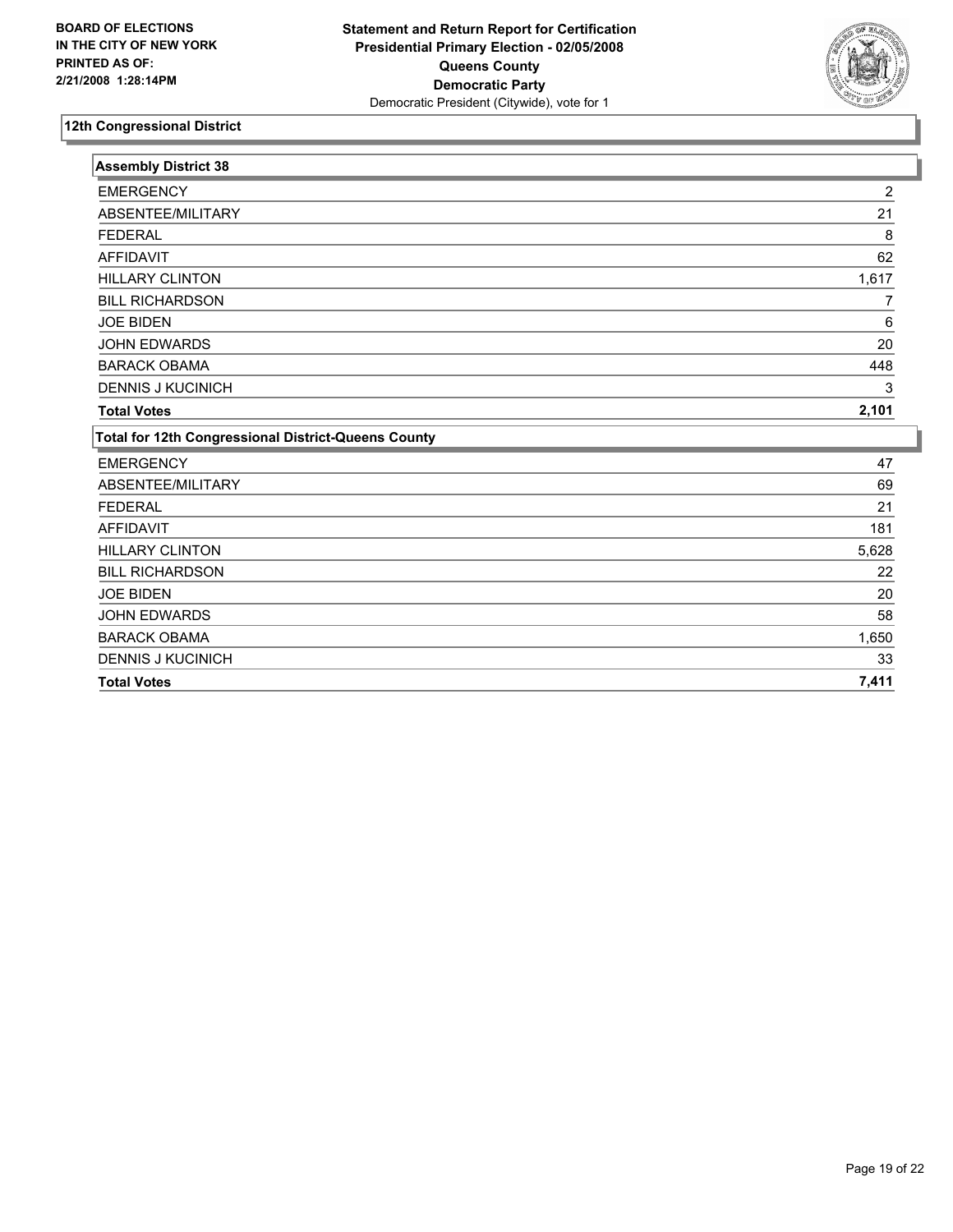

| $\overline{2}$<br>21<br>8<br>62<br>1,617<br>6 |
|-----------------------------------------------|
|                                               |
|                                               |
|                                               |
|                                               |
|                                               |
|                                               |
|                                               |
| 20                                            |
| 448                                           |
| 3                                             |
| 2,101                                         |
|                                               |
| 47                                            |
| 69                                            |
| 21                                            |
| 181                                           |
| 5,628                                         |
| 22                                            |
| 20                                            |
| 58                                            |
|                                               |
|                                               |
| 1,650<br>33                                   |
|                                               |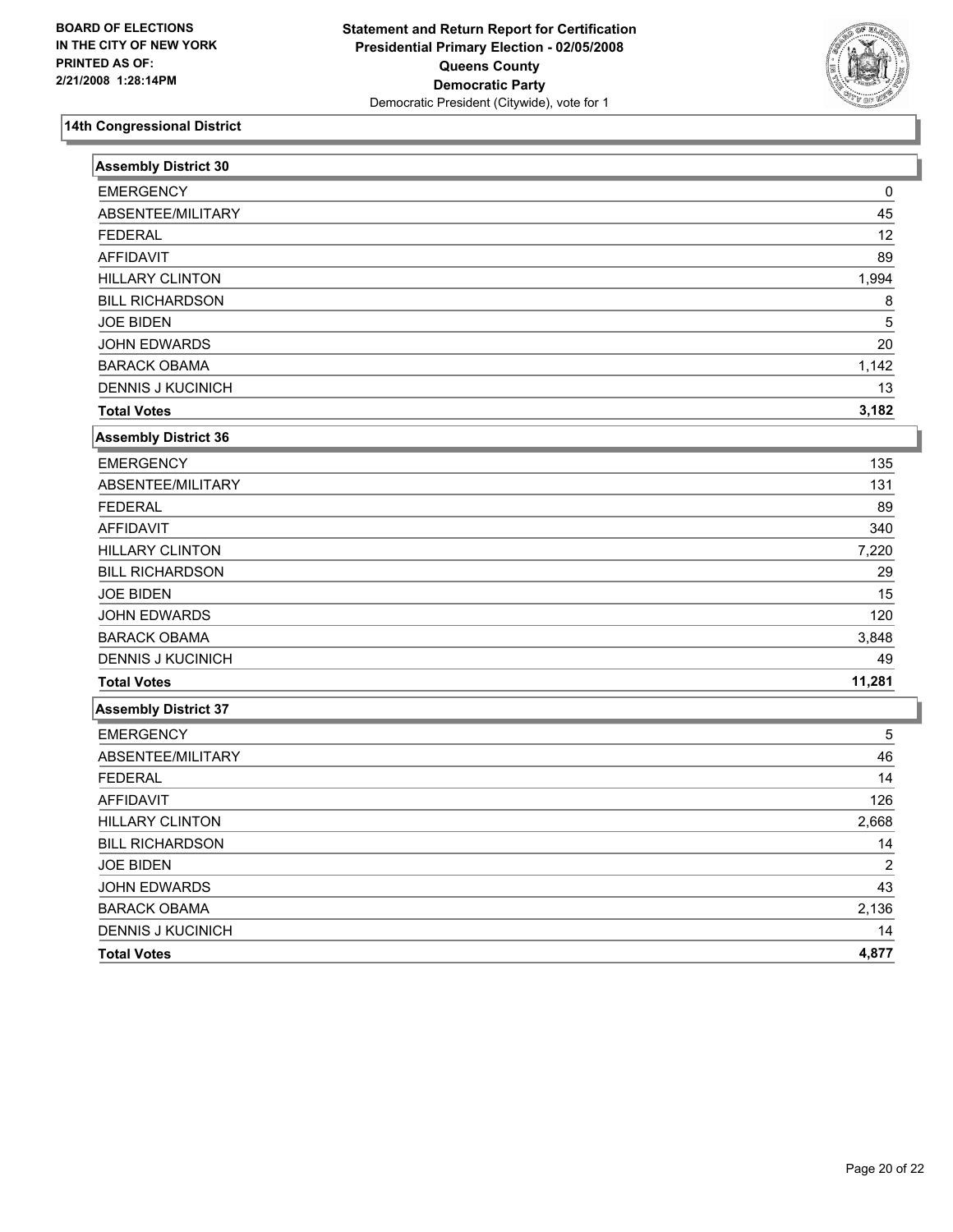

| <b>Assembly District 30</b> |        |
|-----------------------------|--------|
| <b>EMERGENCY</b>            | 0      |
| ABSENTEE/MILITARY           | 45     |
| <b>FEDERAL</b>              | 12     |
| <b>AFFIDAVIT</b>            | 89     |
| <b>HILLARY CLINTON</b>      | 1,994  |
| <b>BILL RICHARDSON</b>      | 8      |
| <b>JOE BIDEN</b>            | 5      |
| <b>JOHN EDWARDS</b>         | 20     |
| <b>BARACK OBAMA</b>         | 1,142  |
| <b>DENNIS J KUCINICH</b>    | 13     |
| <b>Total Votes</b>          | 3,182  |
| <b>Assembly District 36</b> |        |
| <b>EMERGENCY</b>            | 135    |
| ABSENTEE/MILITARY           | 131    |
| <b>FEDERAL</b>              | 89     |
| <b>AFFIDAVIT</b>            | 340    |
| <b>HILLARY CLINTON</b>      | 7,220  |
| <b>BILL RICHARDSON</b>      | 29     |
| <b>JOE BIDEN</b>            | 15     |
| <b>JOHN EDWARDS</b>         | 120    |
| <b>BARACK OBAMA</b>         | 3,848  |
| <b>DENNIS J KUCINICH</b>    | 49     |
| <b>Total Votes</b>          | 11,281 |
| <b>Assembly District 37</b> |        |
| <b>EMERGENCY</b>            | 5      |
| ABSENTEE/MILITARY           | 46     |
| <b>FEDERAL</b>              | 14     |
| <b>AFFIDAVIT</b>            | 126    |
| <b>HILLARY CLINTON</b>      | 2,668  |
| <b>BILL RICHARDSON</b>      | 14     |
| <b>JOE BIDEN</b>            | 2      |
| <b>JOHN EDWARDS</b>         | 43     |
| <b>BARACK OBAMA</b>         | 2,136  |
| <b>DENNIS J KUCINICH</b>    | 14     |
| <b>Total Votes</b>          | 4,877  |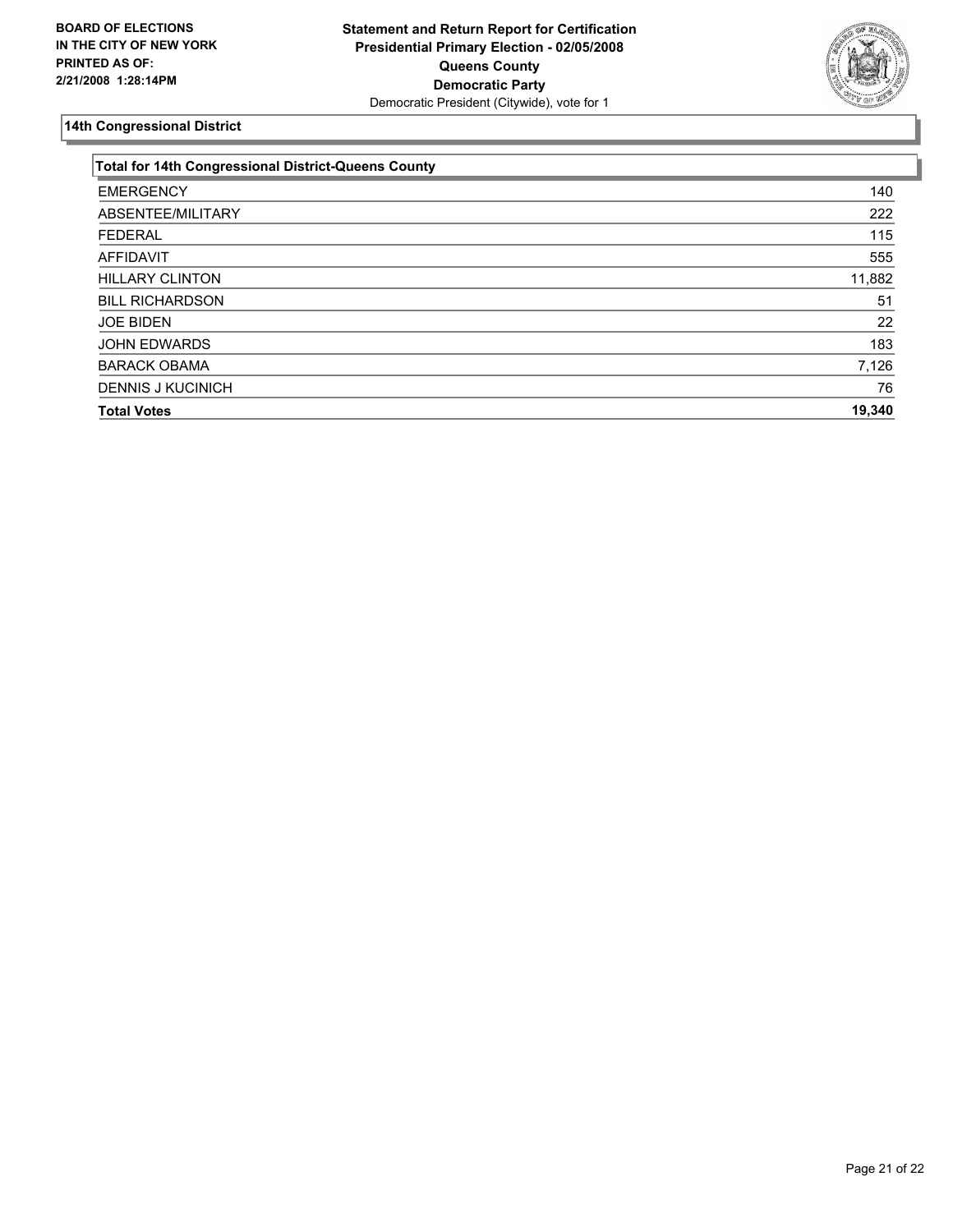

| <b>Total for 14th Congressional District-Queens County</b> |  |
|------------------------------------------------------------|--|
| 140                                                        |  |
| 222                                                        |  |
| 115                                                        |  |
| 555                                                        |  |
| 11,882                                                     |  |
| 51                                                         |  |
| 22                                                         |  |
| 183                                                        |  |
| 7,126                                                      |  |
| 76                                                         |  |
| 19,340                                                     |  |
|                                                            |  |